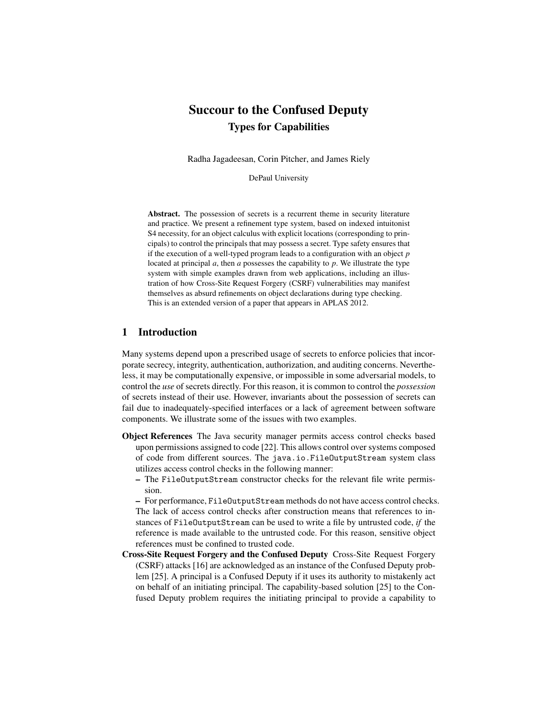# Succour to the Confused Deputy Types for Capabilities

Radha Jagadeesan, Corin Pitcher, and James Riely

DePaul University

Abstract. The possession of secrets is a recurrent theme in security literature and practice. We present a refinement type system, based on indexed intuitonist S4 necessity, for an object calculus with explicit locations (corresponding to principals) to control the principals that may possess a secret. Type safety ensures that if the execution of a well-typed program leads to a configuration with an object *p* located at principal *a*, then *a* possesses the capability to *p*. We illustrate the type system with simple examples drawn from web applications, including an illustration of how Cross-Site Request Forgery (CSRF) vulnerabilities may manifest themselves as absurd refinements on object declarations during type checking. This is an extended version of a paper that appears in APLAS 2012.

# 1 Introduction

Many systems depend upon a prescribed usage of secrets to enforce policies that incorporate secrecy, integrity, authentication, authorization, and auditing concerns. Nevertheless, it may be computationally expensive, or impossible in some adversarial models, to control the *use* of secrets directly. For this reason, it is common to control the *possession* of secrets instead of their use. However, invariants about the possession of secrets can fail due to inadequately-specified interfaces or a lack of agreement between software components. We illustrate some of the issues with two examples.

- Object References The Java security manager permits access control checks based upon permissions assigned to code [22]. This allows control over systems composed of code from different sources. The java.io.FileOutputStream system class utilizes access control checks in the following manner:
	- The FileOutputStream constructor checks for the relevant file write permission.

– For performance, FileOutputStream methods do not have access control checks. The lack of access control checks after construction means that references to instances of FileOutputStream can be used to write a file by untrusted code, *if* the reference is made available to the untrusted code. For this reason, sensitive object references must be confined to trusted code.

Cross-Site Request Forgery and the Confused Deputy Cross-Site Request Forgery (CSRF) attacks [16] are acknowledged as an instance of the Confused Deputy problem [25]. A principal is a Confused Deputy if it uses its authority to mistakenly act on behalf of an initiating principal. The capability-based solution [25] to the Confused Deputy problem requires the initiating principal to provide a capability to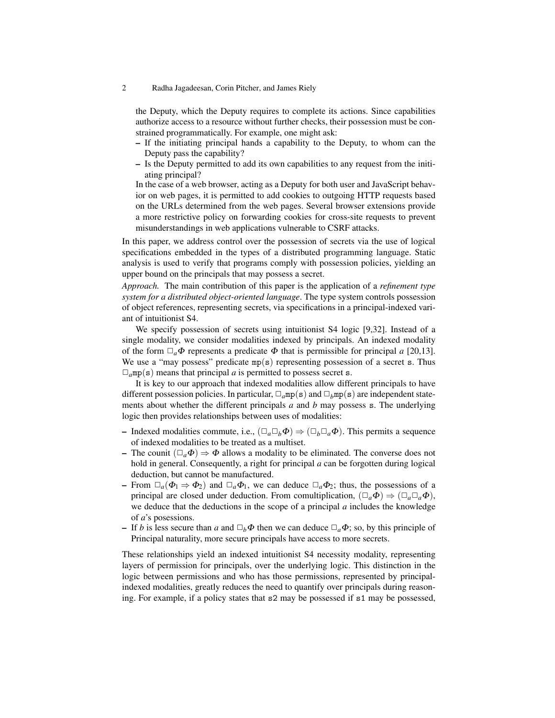the Deputy, which the Deputy requires to complete its actions. Since capabilities authorize access to a resource without further checks, their possession must be constrained programmatically. For example, one might ask:

- If the initiating principal hands a capability to the Deputy, to whom can the Deputy pass the capability?
- Is the Deputy permitted to add its own capabilities to any request from the initiating principal?

In the case of a web browser, acting as a Deputy for both user and JavaScript behavior on web pages, it is permitted to add cookies to outgoing HTTP requests based on the URLs determined from the web pages. Several browser extensions provide a more restrictive policy on forwarding cookies for cross-site requests to prevent misunderstandings in web applications vulnerable to CSRF attacks.

In this paper, we address control over the possession of secrets via the use of logical specifications embedded in the types of a distributed programming language. Static analysis is used to verify that programs comply with possession policies, yielding an upper bound on the principals that may possess a secret.

*Approach.* The main contribution of this paper is the application of a *refinement type system for a distributed object-oriented language*. The type system controls possession of object references, representing secrets, via specifications in a principal-indexed variant of intuitionist S4.

We specify possession of secrets using intuitionist S4 logic [9,32]. Instead of a single modality, we consider modalities indexed by principals. An indexed modality of the form  $\Box_a \Phi$  represents a predicate  $\Phi$  that is permissible for principal *a* [20,13]. We use a "may possess" predicate  $mp(s)$  representing possession of a secret s. Thus  $\Box_a$ mp(s) means that principal *a* is permitted to possess secret s.

It is key to our approach that indexed modalities allow different principals to have different possession policies. In particular,  $\Box_a$ mp(s) and  $\Box_b$ mp(s) are independent statements about whether the different principals *a* and *b* may possess s. The underlying logic then provides relationships between uses of modalities:

- Indexed modalities commute, i.e.,  $(\Box_a \Box_b \Phi) \Rightarrow (\Box_b \Box_a \Phi)$ . This permits a sequence of indexed modalities to be treated as a multiset.
- The counit  $(\Box_a \Phi) \Rightarrow \Phi$  allows a modality to be eliminated. The converse does not hold in general. Consequently, a right for principal *a* can be forgotten during logical deduction, but cannot be manufactured.
- From  $\Box_a(\Phi_1 \Rightarrow \Phi_2)$  and  $\Box_a \Phi_1$ , we can deduce  $\Box_a \Phi_2$ ; thus, the possessions of a principal are closed under deduction. From comultiplication,  $(\Box_a \Phi) \Rightarrow (\Box_a \Box_a \Phi)$ , we deduce that the deductions in the scope of a principal *a* includes the knowledge of *a*'s posessions.
- If *b* is less secure than *a* and  $\Box_b \Phi$  then we can deduce  $\Box_a \Phi$ ; so, by this principle of Principal naturality, more secure principals have access to more secrets.

These relationships yield an indexed intuitionist S4 necessity modality, representing layers of permission for principals, over the underlying logic. This distinction in the logic between permissions and who has those permissions, represented by principalindexed modalities, greatly reduces the need to quantify over principals during reasoning. For example, if a policy states that s2 may be possessed if s1 may be possessed,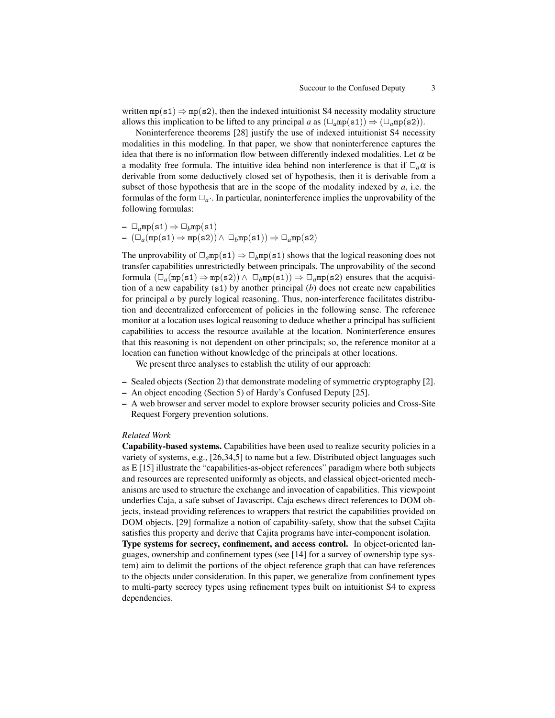written  $mp(s1) \Rightarrow mp(s2)$ , then the indexed intuitionist S4 necessity modality structure allows this implication to be lifted to any principal *a* as  $(\Box_a m p(\text{s1})) \Rightarrow (\Box_a m p(\text{s2})).$ 

Noninterference theorems [28] justify the use of indexed intuitionist S4 necessity modalities in this modeling. In that paper, we show that noninterference captures the idea that there is no information flow between differently indexed modalities. Let  $\alpha$  be a modality free formula. The intuitive idea behind non interference is that if  $\Box_a \alpha$  is derivable from some deductively closed set of hypothesis, then it is derivable from a subset of those hypothesis that are in the scope of the modality indexed by  $a$ , i.e. the formulas of the form  $\Box_a$ . In particular, noninterference implies the unprovability of the following formulas:

 $– \Box_qmp(s1) \Rightarrow \Box_bmp(s1)$  $-$  ( $\Box_a$ (mp(s1) ⇒ mp(s2)) ∧  $\Box_b$ mp(s1)) ⇒  $\Box_a$ mp(s2)

The unprovability of  $\Box_q$ mp(s1)  $\Rightarrow \Box_b$ mp(s1) shows that the logical reasoning does not transfer capabilities unrestrictedly between principals. The unprovability of the second formula  $(\Box_a$ (mp(s1)  $\Rightarrow$  mp(s2))  $\land \Box_b$ mp(s1))  $\Rightarrow \Box_a$ mp(s2) ensures that the acquisition of a new capability (s1) by another principal (*b*) does not create new capabilities for principal *a* by purely logical reasoning. Thus, non-interference facilitates distribution and decentralized enforcement of policies in the following sense. The reference monitor at a location uses logical reasoning to deduce whether a principal has sufficient capabilities to access the resource available at the location. Noninterference ensures that this reasoning is not dependent on other principals; so, the reference monitor at a location can function without knowledge of the principals at other locations.

We present three analyses to establish the utility of our approach:

- Sealed objects (Section 2) that demonstrate modeling of symmetric cryptography [2].
- An object encoding (Section 5) of Hardy's Confused Deputy [25].
- A web browser and server model to explore browser security policies and Cross-Site Request Forgery prevention solutions.

### *Related Work*

Capability-based systems. Capabilities have been used to realize security policies in a variety of systems, e.g., [26,34,5] to name but a few. Distributed object languages such as E [15] illustrate the "capabilities-as-object references" paradigm where both subjects and resources are represented uniformly as objects, and classical object-oriented mechanisms are used to structure the exchange and invocation of capabilities. This viewpoint underlies Caja, a safe subset of Javascript. Caja eschews direct references to DOM objects, instead providing references to wrappers that restrict the capabilities provided on DOM objects. [29] formalize a notion of capability-safety, show that the subset Cajita satisfies this property and derive that Cajita programs have inter-component isolation.

Type systems for secrecy, confinement, and access control. In object-oriented languages, ownership and confinement types (see [14] for a survey of ownership type system) aim to delimit the portions of the object reference graph that can have references to the objects under consideration. In this paper, we generalize from confinement types to multi-party secrecy types using refinement types built on intuitionist S4 to express dependencies.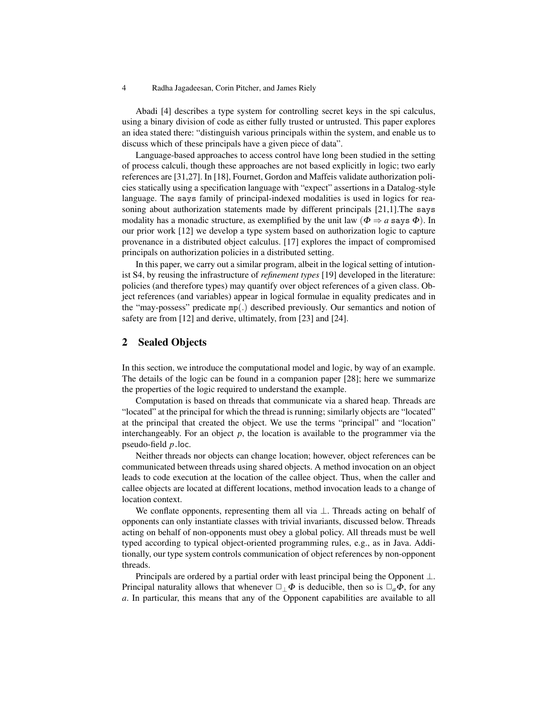Abadi [4] describes a type system for controlling secret keys in the spi calculus, using a binary division of code as either fully trusted or untrusted. This paper explores an idea stated there: "distinguish various principals within the system, and enable us to discuss which of these principals have a given piece of data".

Language-based approaches to access control have long been studied in the setting of process calculi, though these approaches are not based explicitly in logic; two early references are [31,27]. In [18], Fournet, Gordon and Maffeis validate authorization policies statically using a specification language with "expect" assertions in a Datalog-style language. The says family of principal-indexed modalities is used in logics for reasoning about authorization statements made by different principals [21,1].The says modality has a monadic structure, as exemplified by the unit law ( $\Phi \Rightarrow a$  says  $\Phi$ ). In our prior work [12] we develop a type system based on authorization logic to capture provenance in a distributed object calculus. [17] explores the impact of compromised principals on authorization policies in a distributed setting.

In this paper, we carry out a similar program, albeit in the logical setting of intutionist S4, by reusing the infrastructure of *refinement types* [19] developed in the literature: policies (and therefore types) may quantify over object references of a given class. Object references (and variables) appear in logical formulae in equality predicates and in the "may-possess" predicate mp(.) described previously. Our semantics and notion of safety are from [12] and derive, ultimately, from [23] and [24].

# 2 Sealed Objects

In this section, we introduce the computational model and logic, by way of an example. The details of the logic can be found in a companion paper [28]; here we summarize the properties of the logic required to understand the example.

Computation is based on threads that communicate via a shared heap. Threads are "located" at the principal for which the thread is running; similarly objects are "located" at the principal that created the object. We use the terms "principal" and "location" interchangeably. For an object  $p$ , the location is available to the programmer via the pseudo-field *p*.loc.

Neither threads nor objects can change location; however, object references can be communicated between threads using shared objects. A method invocation on an object leads to code execution at the location of the callee object. Thus, when the caller and callee objects are located at different locations, method invocation leads to a change of location context.

We conflate opponents, representing them all via  $\perp$ . Threads acting on behalf of opponents can only instantiate classes with trivial invariants, discussed below. Threads acting on behalf of non-opponents must obey a global policy. All threads must be well typed according to typical object-oriented programming rules, e.g., as in Java. Additionally, our type system controls communication of object references by non-opponent threads.

Principals are ordered by a partial order with least principal being the Opponent  $\perp$ . Principal naturality allows that whenever  $\Box_{\perp} \Phi$  is deducible, then so is  $\Box_a \Phi$ , for any *a*. In particular, this means that any of the Opponent capabilities are available to all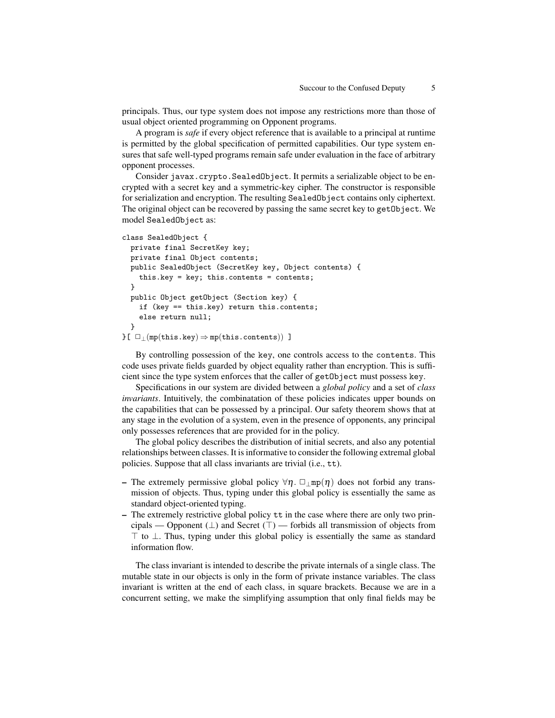principals. Thus, our type system does not impose any restrictions more than those of usual object oriented programming on Opponent programs.

A program is *safe* if every object reference that is available to a principal at runtime is permitted by the global specification of permitted capabilities. Our type system ensures that safe well-typed programs remain safe under evaluation in the face of arbitrary opponent processes.

Consider javax.crypto.SealedObject. It permits a serializable object to be encrypted with a secret key and a symmetric-key cipher. The constructor is responsible for serialization and encryption. The resulting SealedObject contains only ciphertext. The original object can be recovered by passing the same secret key to getObject. We model SealedObject as:

```
class SealedObject {
  private final SecretKey key;
 private final Object contents;
 public SealedObject (SecretKey key, Object contents) {
    this.key = key; this.contents = contents;
  }
 public Object getObject (Section key) {
    if (key == this.key) return this.contents;
    else return null;
  }
{}[\Box \Box \text{m}(this.\text{key}) \Rightarrow mp(this.\text{contents}))]
```
By controlling possession of the key, one controls access to the contents. This code uses private fields guarded by object equality rather than encryption. This is sufficient since the type system enforces that the caller of getObject must possess key.

Specifications in our system are divided between a *global policy* and a set of *class invariants*. Intuitively, the combinatation of these policies indicates upper bounds on the capabilities that can be possessed by a principal. Our safety theorem shows that at any stage in the evolution of a system, even in the presence of opponents, any principal only possesses references that are provided for in the policy.

The global policy describes the distribution of initial secrets, and also any potential relationships between classes. It is informative to consider the following extremal global policies. Suppose that all class invariants are trivial (i.e., tt).

- The extremely permissive global policy  $\forall \eta$ .  $\Box_{\bot}$ mp( $\eta$ ) does not forbid any transmission of objects. Thus, typing under this global policy is essentially the same as standard object-oriented typing.
- The extremely restrictive global policy tt in the case where there are only two principals — Opponent  $(\perp)$  and Secret  $(\top)$  — forbids all transmission of objects from  $\top$  to  $\bot$ . Thus, typing under this global policy is essentially the same as standard information flow.

The class invariant is intended to describe the private internals of a single class. The mutable state in our objects is only in the form of private instance variables. The class invariant is written at the end of each class, in square brackets. Because we are in a concurrent setting, we make the simplifying assumption that only final fields may be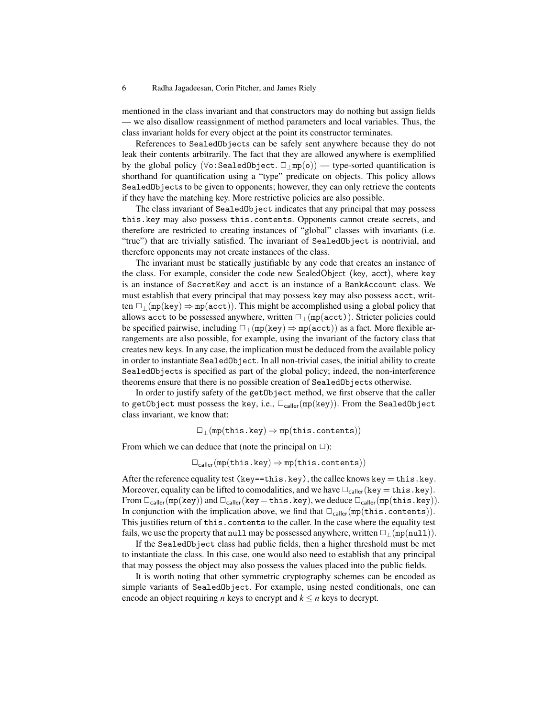mentioned in the class invariant and that constructors may do nothing but assign fields — we also disallow reassignment of method parameters and local variables. Thus, the class invariant holds for every object at the point its constructor terminates.

References to SealedObjects can be safely sent anywhere because they do not leak their contents arbitrarily. The fact that they are allowed anywhere is exemplified by the global policy ( $\forall$ o:SealedObject.  $\Box_+$ mp(o)) — type-sorted quantification is shorthand for quantification using a "type" predicate on objects. This policy allows SealedObjects to be given to opponents; however, they can only retrieve the contents if they have the matching key. More restrictive policies are also possible.

The class invariant of SealedObject indicates that any principal that may possess this.key may also possess this.contents. Opponents cannot create secrets, and therefore are restricted to creating instances of "global" classes with invariants (i.e. "true") that are trivially satisfied. The invariant of SealedObject is nontrivial, and therefore opponents may not create instances of the class.

The invariant must be statically justifiable by any code that creates an instance of the class. For example, consider the code new SealedObject (key, acct), where key is an instance of SecretKey and acct is an instance of a BankAccount class. We must establish that every principal that may possess key may also possess acct, written  $\Box$ <sub>⊥</sub>(mp(key)  $\Rightarrow$  mp(acct)). This might be accomplished using a global policy that allows acct to be possessed anywhere, written  $\Box$  (mp(acct)). Stricter policies could be specified pairwise, including  $\Box$  (mp(key)  $\Rightarrow$  mp(acct)) as a fact. More flexible arrangements are also possible, for example, using the invariant of the factory class that creates new keys. In any case, the implication must be deduced from the available policy in order to instantiate SealedObject. In all non-trivial cases, the initial ability to create SealedObjects is specified as part of the global policy; indeed, the non-interference theorems ensure that there is no possible creation of SealedObjects otherwise.

In order to justify safety of the getObject method, we first observe that the caller to getObject must possess the key, i.e.,  $\Box_{\text{caler}}(\text{mp}(\text{key}))$ . From the SealedObject class invariant, we know that:

 $\Box_{\perp}$ (mp(this.key)  $\Rightarrow$  mp(this.contents))

From which we can deduce that (note the principal on  $\Box$ ):

 $\Box_{\text{caller}}(\text{mp}(\text{this}.\text{key}) \Rightarrow \text{mp}(\text{this}.\text{contents}))$ 

After the reference equality test (key==this.key), the callee knows key = this.key. Moreover, equality can be lifted to comodalities, and we have  $\Box_{\text{caler}}(\text{key} = \text{this key})$ . From  $\Box_{\text{caller}}(\text{mp}(\text{key}))$  and  $\Box_{\text{caller}}(\text{key} = \text{this} \cdot \text{key})$ , we deduce  $\Box_{\text{caller}}(\text{mp}(\text{this} \cdot \text{key}))$ . In conjunction with the implication above, we find that  $\Box_{\text{collect}}(\text{mp}(\text{this}.\text{contents})).$ This justifies return of this.contents to the caller. In the case where the equality test fails, we use the property that null may be possessed anywhere, written  $\Box$  (mp(null)).

If the SealedObject class had public fields, then a higher threshold must be met to instantiate the class. In this case, one would also need to establish that any principal that may possess the object may also possess the values placed into the public fields.

It is worth noting that other symmetric cryptography schemes can be encoded as simple variants of SealedObject. For example, using nested conditionals, one can encode an object requiring *n* keys to encrypt and  $k \le n$  keys to decrypt.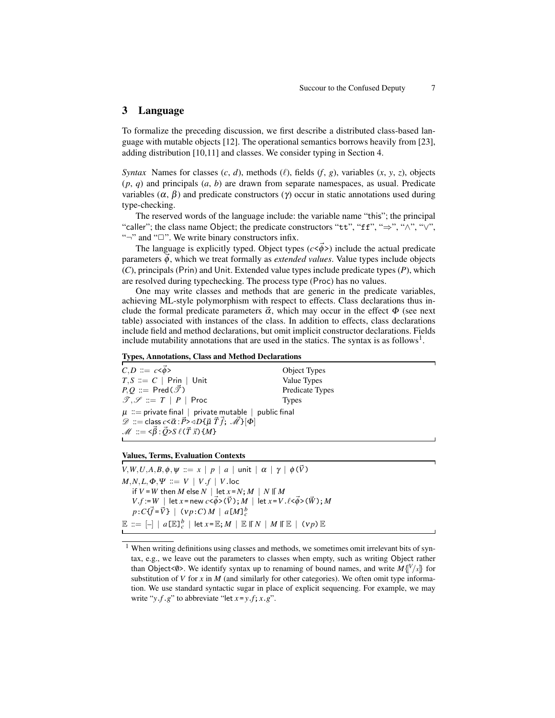# 3 Language

To formalize the preceding discussion, we first describe a distributed class-based language with mutable objects [12]. The operational semantics borrows heavily from [23], adding distribution [10,11] and classes. We consider typing in Section 4.

*Syntax* Names for classes  $(c, d)$ , methods  $(\ell)$ , fields  $(f, g)$ , variables  $(x, y, z)$ , objects (*p*, *q*) and principals (*a*, *b*) are drawn from separate namespaces, as usual. Predicate variables  $(\alpha, \beta)$  and predicate constructors (γ) occur in static annotations used during type-checking.

The reserved words of the language include: the variable name "this"; the principal "caller"; the class name Object; the predicate constructors "tt", "ff", " $\Rightarrow$ ", " $\wedge$ ", " $\vee$ ", "¬" and "□". We write binary constructors infix.

The language is explicitly typed. Object types  $(c < \vec{\phi}$ >) include the actual predicate parameters  $\vec{\phi}$ , which we treat formally as *extended values*. Value types include objects (*C*), principals (Prin) and Unit. Extended value types include predicate types (*P*), which are resolved during typechecking. The process type (Proc) has no values.

One may write classes and methods that are generic in the predicate variables, achieving ML-style polymorphism with respect to effects. Class declarations thus include the formal predicate parameters  $\vec{\alpha}$ , which may occur in the effect  $\Phi$  (see next table) associated with instances of the class. In addition to effects, class declarations include field and method declarations, but omit implicit constructor declarations. Fields include mutability annotations that are used in the statics. The syntax is as follows<sup>1</sup>.

### Types, Annotations, Class and Method Declarations

 $C, D ::= c < \vec{\phi} >$  Object Types  $T, S ::= C | \text{Prin} | \text{Unit}$  Value Types  $P, Q \cong \text{Pred}(\vec{\mathcal{F}})$  Predicate Types  $\mathcal{T}, \mathcal{S} \coloneqq T | P |$  Proc Types  $\mu$  := private final | private mutable | public final  $\mathscr{D}$  ::= class  $c \leq \vec{\alpha}$ :  $\vec{P}$ > $\triangleleft D \{ \vec{\mu} \ \vec{T} \ \vec{f}$ ;  $\vec{\mathscr{M}} \}[\Phi]$  $M := \langle \vec{\beta} : \vec{Q} \rangle S \ell(\vec{T} \vec{x}) \{M\}$ 

### Values, Terms, Evaluation Contexts

*V*,*W*,*U*,*A*,*B*, $\phi$ , $\psi$  ::= *x* | *p* | *a* | unit |  $\alpha$  |  $\gamma$  |  $\phi(\vec{V})$  $M, N, L, \Phi, \Psi \coloneqq V \mid V.f \mid V.\mathsf{loc}$ if  $V = W$  then  $M$  else  $N \mid \text{let } x = N$ ;  $M \mid N \mid M$  $V.f := W$  | let  $x = new$   $c < \vec{\phi} > (\vec{V})$ ;  $M$  | let  $x = V \cdot \ell < \vec{\phi} > (\vec{W})$ ;  $M$  $p: C\{\vec{f} = \vec{V}\}\mid (vp:C)M \mid a[M]_c^b$  $\mathbb{E} \ ::= \ [-] \ \ | \ \ a \llbracket \mathbb{E} \rrbracket_c^b \ \ | \ \ \mathsf{let} \ x \verb! = \mathbb{E} ; M \ \ | \ \ \mathbb{E} \ \mathbb{E} \ N \ \ | \ \ M \ \mathbb{E} \ \ | \ \ (\mathsf{v} \ \mathsf{p}) \ \mathbb{E}$ 

<sup>&</sup>lt;sup>1</sup> When writing definitions using classes and methods, we sometimes omit irrelevant bits of syntax, e.g., we leave out the parameters to classes when empty, such as writing Object rather than Object<0>. We identify syntax up to renaming of bound names, and write  $M\left\{\!\!\left\{V\right/\!\! x\right\}\!\!\right\}$  for substitution of *V* for *x* in *M* (and similarly for other categories). We often omit type information. We use standard syntactic sugar in place of explicit sequencing. For example, we may write " $y.f.g$ " to abbreviate "let  $x = y.f$ ;  $x.g$ ".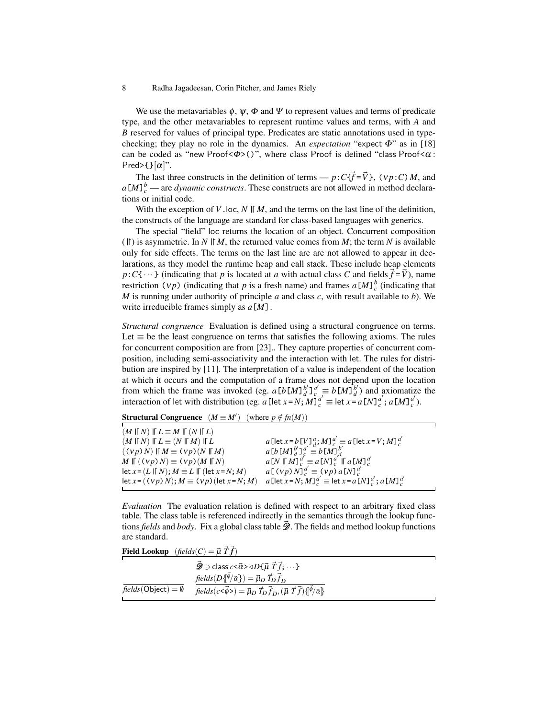We use the metavariables  $\phi$ ,  $\psi$ ,  $\Phi$  and  $\Psi$  to represent values and terms of predicate type, and the other metavariables to represent runtime values and terms, with *A* and *B* reserved for values of principal type. Predicates are static annotations used in typechecking; they play no role in the dynamics. An *expectation* "expect Φ" as in [18] can be coded as "new Proof < $\Phi$ >()", where class Proof is defined "class Proof < $\alpha$ : Pred>{ $\}[\alpha]$ ".

The last three constructs in the definition of terms —  $p:C{f} = \vec{V}$ ,  $(v p:C) M$ , and  $a[M]_c^b$  — are *dynamic constructs*. These constructs are not allowed in method declarations or initial code.

With the exception of  $V$ . loc,  $N \parallel M$ , and the terms on the last line of the definition, the constructs of the language are standard for class-based languages with generics.

The special "field" loc returns the location of an object. Concurrent composition ( $||$ ) is asymmetric. In *N*  $||M$ , the returned value comes from *M*; the term *N* is available only for side effects. The terms on the last line are are not allowed to appear in declarations, as they model the runtime heap and call stack. These include heap elements  $p:C\{\cdots\}$  (indicating that *p* is located at *a* with actual class *C* and fields  $\vec{f} = \vec{V}$ ), name restriction (*vp*) (indicating that *p* is a fresh name) and frames  $a[M]_c^b$  (indicating that *M* is running under authority of principle *a* and class *c*, with result available to *b*). We write irreducible frames simply as *a*[*M*].

*Structural congruence* Evaluation is defined using a structural congruence on terms. Let  $\equiv$  be the least congruence on terms that satisfies the following axioms. The rules for concurrent composition are from [23].. They capture properties of concurrent composition, including semi-associativity and the interaction with let. The rules for distribution are inspired by [11]. The interpretation of a value is independent of the location at which it occurs and the computation of a frame does not depend upon the location from which the frame was invoked (eg.  $a[b[M]\,d^b]\,d^d = b[M]\,d^b$  $\alpha_d^b$ ) and axiomatize the interaction of let with distribution (eg. *a* [let *x* = *N*; *M*]<sup>*d*</sup>/ $\frac{d}{c}$  ≡ let *x* = *a* [*N*] $\frac{d}{c}$ ; *a* [*M*] $\frac{d}{c}$  $_{c}^{a}$ ).

**Structural Congruence**  $(M \equiv M')$  (where  $p \notin fn(M))$ 

| $(M \parallel N) \parallel L \equiv M \parallel (N \parallel L)$       |                                                                                                        |
|------------------------------------------------------------------------|--------------------------------------------------------------------------------------------------------|
| $(M \parallel N) \parallel L \equiv (N \parallel M) \parallel L$       | $a$ [let $x = b$ [V] $\frac{a}{d}$ ; $M$ ] $\frac{a'}{c} \equiv a$ [let $x = V$ ; $M$ ] $\frac{a'}{c}$ |
| $((\nu p) N) \mathbin{\ } M \equiv (\nu p) (N \mathbin{\ } M)$         | $a[b[M]\substack{b'}{d}]_c^{a'} \equiv b[M]\substack{b'}{d}$                                           |
| $M \parallel ((vp) N) \equiv (vp) (M \parallel N)$                     | $a[N \mathbin{\parallel} M]_c^{a'} \equiv a[N]_c^{a''} \mathbin{\parallel} a[M]_c^{a'}$                |
| let $x = (L \parallel N); M \equiv L \parallel (\text{let } x = N; M)$ | $a[(vp)N]_c^{a'} \equiv (vp) a[N]_c^{a'}$                                                              |
| let $x = ((vp) N); M \equiv (vp)$ (let $x = N; M$ )                    | $a$ [let $x = N$ ; $M$ ] $_a^{a'} \equiv$ let $x = a$ [N] $_a^{a'}$ ; $a$ [M] $_a^{a'}$                |
|                                                                        |                                                                                                        |

*Evaluation* The evaluation relation is defined with respect to an arbitrary fixed class table. The class table is referenced indirectly in the semantics through the lookup functions *fields* and *body*. Fix a global class table  $\mathscr{D}$ . The fields and method lookup functions are standard.

**Field Lookup**  $(\text{fields}(C) = \vec{\mu} \ \vec{T} \ \vec{f})$ 

|                              | $\hat{\mathscr{D}} \ni$ class $c < \vec{\alpha} > \triangleleft D\{\vec{\mu} \ \vec{T} \ \vec{f}; \cdots \}$           |  |
|------------------------------|------------------------------------------------------------------------------------------------------------------------|--|
|                              | $fields(D\{\phi/\vec{\alpha}\})=\vec{\mu}_D \vec{T}_D \vec{f}_D$                                                       |  |
| $fields(Object) = \emptyset$ | $fields(c<\vec{\phi}>) = \vec{\mu}_D \ \vec{T}_D \vec{f}_D, (\vec{\mu} \ \vec{T} \vec{f}) \{\ket{\phi} \vec{\alpha}\}$ |  |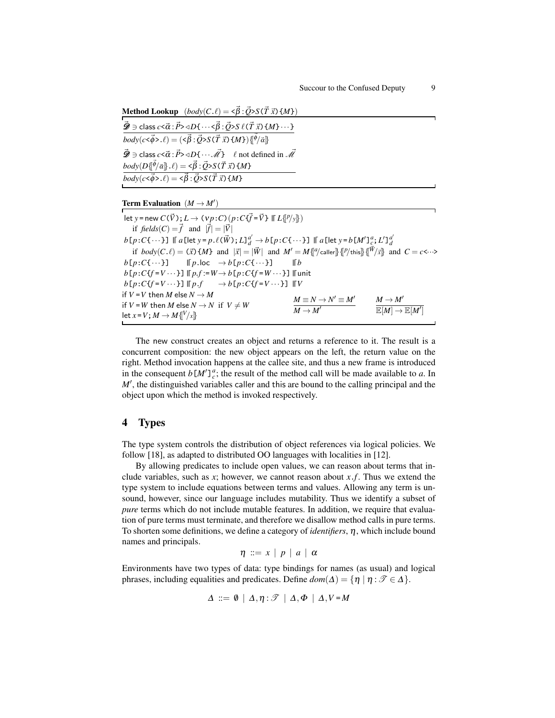Method Lookup  $(body(C.\ell) = \langle \vec{\beta} : \vec{Q} \rangle S(\vec{T} \vec{x}) \{M\})$  $\vec{\mathscr{D}}}\ni$  class  $c<\vec{\alpha}:\vec{P}>\triangleleft D\{\cdots<\vec{\beta}:\vec{Q}>S \;\ell(\vec{T}\;\vec{x})\left\{M\right\}\cdots\}$  $\overline{body(c<\vec{\phi}>. \ell)} = (\langle \vec{\beta}:\vec{Q}\rangle S(\vec{T} \vec{x})\{M\})\{\vec{\phi}/\vec{\alpha}\}$  $\vec{\mathcal{D}} \ni \text{class } c \leq \vec{\alpha} : \vec{P} \geq \triangleleft D \{ \cdots \vec{\mathcal{M}} \}$   $\ell$  not defined in  $\vec{\mathcal{M}}$  $\mathit{body}(D\{\vec{\phi}/\vec{\alpha}\}.\ell) = \langle \vec{\beta}:\vec{Q} \rangle S(\vec{T} \vec{x}) \{M\}$  $\overline{body(c<\vec{\phi}>. \ell)} = \langle \vec{\beta} : \vec{Q} \rangle S(\vec{T} \vec{x}) \{M\}$ 

# **Term Evaluation**  $(M \rightarrow M')$

 $\text{let } y = \text{new } C(\vec{V})$ ;  $L \to (\nu p:C) (p:C\{\vec{f} = \vec{V}\}\ \mathbb{F} \ L\{\llbracket P/y \rrbracket\})$ if  $\text{fields}(C) = \vec{f}$  and  $|\vec{f}| = |\vec{V}|$  $b[p\!:\!C\{\cdots\}]$  || a [let y = p  $\ell(\vec{W})$  ;  $L]_d^{d'} \to b[p\!:\!C\{\cdots\}]$  || a [let y =  $b[M']_{\underline{c}}^a;L']_d^{d'}$ if  $body(C.\ell) = (\vec{x}) \{M\}$  and  $|\vec{x}| = |\vec{W}|$  and  $M' = M{[\ell]'}$ caller] $\{[\ell]$ this] $\{[\vec{W}/\vec{x}]\}$  and  $C = c \leftarrow \rightarrow$  $b[p:C\{\cdots\}]$  $\mathsf{F}(p.\mathsf{loc} \rightarrow b[p:C\{\cdots\}]$ *b*  $b[p:C{f = V \cdots}]$  | $[p.f := W \rightarrow b[p:C{f = W \cdots}]$  || unit  $b[p:C{f=V\cdots}]$  |[ $p.f$  $p.f \longrightarrow b[p:C{f = V \cdots}]$  || $V$ if  $V = V$  then  $M$  else  $N \rightarrow M$ if  $V = W$  then  $M$  else  $N \rightarrow N$  if  $V \neq W$ let  $x = V$ ;  $M \rightarrow M$  { $\{V/x\}$ }  $M \equiv N \rightarrow N' \equiv M'$  $\overline{M} \rightarrow M'$  $M \to M'$  $\overline{\mathbb{E}[M] \to \mathbb{E}[M']}$ 

The new construct creates an object and returns a reference to it. The result is a concurrent composition: the new object appears on the left, the return value on the right. Method invocation happens at the callee site, and thus a new frame is introduced in the consequent  $b[M']_c^a$ ; the result of the method call will be made available to *a*. In M', the distinguished variables caller and this are bound to the calling principal and the object upon which the method is invoked respectively.

# 4 Types

The type system controls the distribution of object references via logical policies. We follow [18], as adapted to distributed OO languages with localities in [12].

By allowing predicates to include open values, we can reason about terms that include variables, such as *x*; however, we cannot reason about *x*.*f*. Thus we extend the type system to include equations between terms and values. Allowing any term is unsound, however, since our language includes mutability. Thus we identify a subset of *pure* terms which do not include mutable features. In addition, we require that evaluation of pure terms must terminate, and therefore we disallow method calls in pure terms. To shorten some definitions, we define a category of *identifiers*, η, which include bound names and principals.

$$
\eta \ ::= x \ | \ p \ | \ a \ | \ \alpha
$$

Environments have two types of data: type bindings for names (as usual) and logical phrases, including equalities and predicates. Define  $dom(\Delta) = \{ \eta \mid \eta : \mathcal{T} \in \Delta \}.$ 

$$
\Delta \ ::= \emptyset \ | \ \Delta, \eta : \mathscr{T} \ | \ \Delta, \Phi \ | \ \Delta, V = M
$$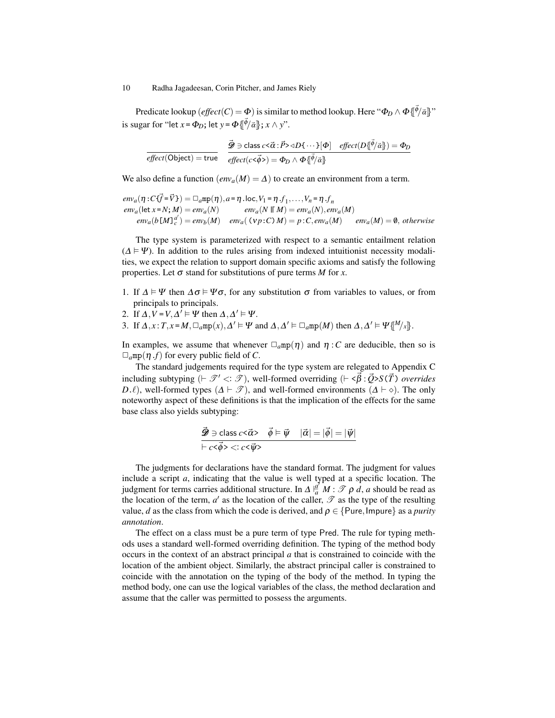Predicate lookup  $(\mathit{effect}(C) = \Phi)$  is similar to method lookup. Here " $\Phi_D \wedge \Phi\{\vec{\phi}/\vec{\alpha}\}$ " is sugar for "let  $x = \Phi_D$ ; let  $y = \Phi\{\vec{\phi}/\vec{\alpha}\}$ ;  $x \wedge y$ ".

$$
\overline{effect(\text{Object}) = \text{true}} \quad \overline{\mathcal{D} \ni \text{class } c < \overline{\alpha} : \overline{P} \times 4D\{\cdots\}[\Phi] \quad \text{effect}(D\{\overline{\phi}/\overline{\alpha}\}) = \Phi_D}{effect(c < \overline{\phi} >)= \Phi_D \wedge \Phi\{\overline{\phi}/\overline{\alpha}\}
$$

We also define a function  $(\text{env}_a(M) = \Delta)$  to create an environment from a term.

$$
env_a(\eta : C\{\vec{f} = \vec{V}\}) = \Box_a mp(\eta), a = \eta \cdot loc, V_1 = \eta \cdot f_1, \dots, V_n = \eta \cdot f_n
$$
  
\n
$$
env_a(\text{let } x = N; M) = env_a(N) \qquad env_a(N \parallel M) = env_a(N), env_a(M)
$$
  
\n
$$
env_a(b[M]\alpha') = env_b(M) \qquad env_a(\text{VP}:C) \text{M}) = p : C, env_a(M) \qquad env_a(M) = \emptyset, otherwise
$$

The type system is parameterized with respect to a semantic entailment relation  $(\Delta \models \Psi)$ . In addition to the rules arising from indexed intuitionist necessity modalities, we expect the relation to support domain specific axioms and satisfy the following properties. Let  $\sigma$  stand for substitutions of pure terms *M* for *x*.

- 1. If  $\Delta \models \Psi$  then  $\Delta \sigma \models \Psi \sigma$ , for any substitution  $\sigma$  from variables to values, or from principals to principals.
- 2. If  $\Delta$ ,  $V = V$ ,  $\Delta' \models \Psi$  then  $\Delta$ ,  $\Delta' \models \Psi$ .
- 3. If  $\Delta$ ,  $x: T, x = M, \Box_a m p(x), \Delta' \models \Psi$  and  $\Delta, \Delta' \models \Box_a m p(M)$  then  $\Delta, \Delta' \models \Psi \{^M/x\}$ .

In examples, we assume that whenever  $\Box_q m p(\eta)$  and  $\eta : C$  are deducible, then so is  $\Box_a$ mp( $\eta$ .*f*) for every public field of *C*.

The standard judgements required for the type system are relegated to Appendix C including subtyping  $(\vdash \mathscr{T}' \lt: : \mathscr{T})$ , well-formed overriding  $(\vdash \lt \vec{\beta} : \vec{Q} \gt S(\vec{T})$  *overrides D*. $\ell$ ), well-formed types ( $\Delta \vdash \mathcal{T}$ ), and well-formed environments ( $\Delta \vdash \diamond$ ). The only noteworthy aspect of these definitions is that the implication of the effects for the same base class also yields subtyping:

$$
\vec{\mathscr{D}} \ni \text{class } c < \vec{\alpha} > \quad \vec{\phi} \models \vec{\psi} \quad |\vec{\alpha}| = |\vec{\phi}| = |\vec{\psi}|
$$
\n
$$
\vec{\phi} \cdot c < \vec{\phi} > \langle c < \vec{\psi} \rangle
$$

The judgments for declarations have the standard format. The judgment for values include a script *a*, indicating that the value is well typed at a specific location. The judgment for terms carries additional structure. In  $\Delta \frac{d}{a} M$  :  $\mathscr{T} \rho d$ , *a* should be read as the location of the term,  $a'$  as the location of the caller,  $\mathscr T$  as the type of the resulting value, *d* as the class from which the code is derived, and  $\rho \in \{Pure, Impure\}$  as a *purity annotation*.

The effect on a class must be a pure term of type Pred. The rule for typing methods uses a standard well-formed overriding definition. The typing of the method body occurs in the context of an abstract principal *a* that is constrained to coincide with the location of the ambient object. Similarly, the abstract principal caller is constrained to coincide with the annotation on the typing of the body of the method. In typing the method body, one can use the logical variables of the class, the method declaration and assume that the caller was permitted to possess the arguments.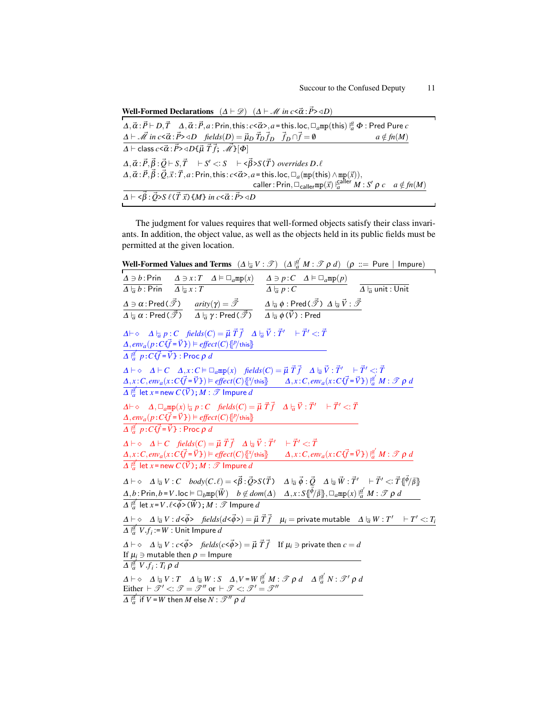| <b>Well-Formed Declarations</b> $(\Delta \vdash \mathcal{D})$ $(\Delta \vdash \mathcal{M} \text{ in } c < \vec{\alpha} : \vec{P} > \triangleleft D)$                                                                                                                                                                            |
|---------------------------------------------------------------------------------------------------------------------------------------------------------------------------------------------------------------------------------------------------------------------------------------------------------------------------------|
| $\Delta, \vec{\alpha} : \vec{P} \vdash D, \vec{T} \quad \Delta, \vec{\alpha} : \vec{P}, a : \text{Prin, this}: c \leq \vec{\alpha} > a = \text{this.} \text{loc}, \Box_a \text{mp}(\text{this}) \vert^a_a \Phi : \text{Pred Pure } c$                                                                                           |
| $\Delta \vdash \vec{M}$ in $c \le \vec{\alpha} : \vec{P} > \triangleleft D$ fields $(D) = \vec{\mu}_D \vec{T}_D \vec{T}_D$ $\vec{f}_D \cap \vec{f} = \emptyset$<br>$a \notin fn(M)$                                                                                                                                             |
| $\overline{\Delta \vdash \text{class } c \lt \vec{\alpha} : \vec{P} \gt \triangleleft D \{\vec{\mu} \ \vec{T} \} ; \ \vec{\mathcal{M}}\}[\Phi]$                                                                                                                                                                                 |
| $\Delta, \vec{\alpha} : \vec{P}, \vec{\beta} : \vec{Q} \vdash S, \vec{T} \vdash S' \lt S \vdash \langle \vec{\beta} \rangle S(\vec{T})$ overrides $D.\ell$                                                                                                                                                                      |
| $\Delta, \vec{\alpha} : \vec{P}, \vec{\beta} : \vec{Q}, \vec{x} : \vec{T}, a : \text{Prin, this} : c < \vec{\alpha} >, a = \text{this}.\text{loc}, \Box_a(\text{mp}(\text{this}) \land \text{mp}(\vec{x})),$<br>caller: $\text{Prin}, \Box_{\text{caller}}(\vec{x}) \big _a^{\text{caller}} M : S' \rho c \quad a \notin fn(M)$ |
|                                                                                                                                                                                                                                                                                                                                 |
| $\Delta \vdash \langle \vec{\beta} : \vec{Q} \rangle S \ell(\vec{T} \vec{x}) \{M\}$ in $c \langle \vec{\alpha} : \vec{P} \rangle \triangleleft D$                                                                                                                                                                               |

The judgment for values requires that well-formed objects satisfy their class invariants. In addition, the object value, as well as the objects held in its public fields must be permitted at the given location.

Well-Formed Values and Terms  $(\Delta \frac{1}{a}V : \mathscr{T})$   $(\Delta \frac{a'}{a}M : \mathscr{T} \rho d)$   $(\rho ::=$  Pure | Impure)  $\Delta \ni b$  : Prin  $\overline{\Delta \vphantom{1} \vphantom{1} a \vphantom{1} b$  : Prin  $\Delta \ni x : T \quad \Delta \models \Box_a \text{mp}(x)$  $\Delta \mid a x : T$  $\Delta \ni p:C$   $\Delta \models \Box_amp(p)$  $\varDelta \, \overline{\phantom{x}}_a \, p : C$   $\qquad \qquad \varDelta \, \overline{\phantom{x}}_a$  unit : Unit  $\varDelta\ni\alpha$  : Pred (  $\vec{\mathscr{T}}$  )  $\overline{\varDelta\mid_{\overline{a}}\alpha}$  : Pred (  $\vec{\mathscr{T}}$  )  $arity(\gamma) = \bar{\mathscr{T}}$  $\overline{\varDelta\mathrel{\vdash}_{\overline{a}}\gamma}$  : Pred (  $\vec{\mathscr{T}}$  )  $\varDelta \vdash_{\!\!\vec{a}} \phi : \mathsf{Pred}(\vec{\mathscr{T}}) \vartriangleleft \vdash_{\!\!\vec{a}} \vec{V} : \vec{\mathscr{T}}$  $\overline{\varDelta\mid_{\overline{a}}\phi\left(\vec{V}\right)}$  : Pred  $\Delta \vdash \diamond$   $\Delta \vdash_{\overline{a}} p : C$  fields $(C) = \vec{\mu} \ \vec{T} \vec{f}$   $\Delta \vdash_{\overline{a}} \vec{V} : \vec{T}' \dashv \vec{T}' <: \vec{T}$  $\Delta$ ,  $env_a(p:C {\vec{f}} = {\vec{V}}$   $) \models effect(C){[P/{\text{this}}]}$  $\overline{A \vert \frac{a'}{a} p : C \bar{f} = \vec{V}}$  : Proc  $\rho$  *d*  $\Delta \vdash \diamond \quad \Delta \vdash C \quad \Delta, x : C \vDash \Box_a \mathtt{mp}(x) \quad \textit{fields}(C) = \vec{\mu} \; \vec{T} \vec{f} \quad \Delta \vdash_{\overline{\alpha}} \vec{V} : \vec{T}' \quad \vdash \vec{T}' <: \vec{T}$  $\Delta$ ,  $x$ : C,  $env_a(x:C\overrightarrow{f}=\overrightarrow{V})$  =  $effect(C)\{[Y/\text{this}]\}$   $\Delta$ ,  $x:C,env_a(x:C\overrightarrow{f}=\overrightarrow{V})\}$   $\frac{a'}{a}M:\mathcal{F}$   $\rho$  d  $\overline{\Delta \vert \frac{a'}{a} \vert}$  let  $\overline{x}$  = new  $\overline{C(\vec{V})}$ ;  $\overline{M}$  :  $\overline{\mathscr{T}}$  Impure  $d$  $\Delta \vdash \diamond$   $\Delta, \Box_a$ mp $(x) \models_{\overline{a}} p : C$  fields $(C) = \vec{\mu} \; \vec{T} \vec{f} \quad \Delta \models_{\overline{a}} \vec{V} : \vec{T}' \quad \vdash \vec{T}' <: \vec{T}$  $\Delta$ ,  $env_a(p:C {\overrightarrow{f}} = {\overrightarrow{V}}) \models effect(C){[P/{\text{this}}]}$  $\overline{\Delta \frac{a'}{a} p:C{\vec{f}}=\vec{V}}$  : Proc  $\rho$  *d*  $\Delta \vdash \diamond \quad \Delta \vdash C \quad \textit{fields}(C) = \vec{\mu} \; \vec{T} \vec{f} \quad \Delta \vdash_{\overline{\alpha}} \vec{V} : \vec{T}' \quad \vdash \vec{T}' <: \vec{T}$  $\Delta$ ,  $x$  :  $C$ ,  $env_a(x:C\vec{f} = \vec{V}$   $E) \models$  effect(C) [[ $^x$ /this]  $\Delta$ ,  $x$  :  $C$ ,  $env_a(x:C\vec{f} = \vec{V}$   $E) \mid_a^d M$  :  $\mathscr{T} \rho$  d  $\overline{A}$   $\frac{a'}{a}$  let *x* = new  $C(\vec{V})$  ;  $M : \mathscr{T}$  Impure  $d$  $\Delta \vdash \diamond \quad \Delta \models q \; V : C \quad body(C.\ell) = \prec \vec{\beta} : \vec{Q} > S(\vec{T}) \quad \Delta \models q \; \vec{\phi} : \vec{Q} \quad \Delta \models q \; \vec{W} : \vec{T}' \quad \vdash \vec{T}' <: \vec{T} \{\!\!\left\{\!\!\left.\!\!\left.\!\!\left.\!\!\right.\!\!\right.\!\!\right.^\varphi \!\!\!\left. \!\!\left. \!\!\left.\!\!\right.\!\!\right.^\varphi \!\!\!\left.^\varphi \!\!\left. \!\!\left. \!\!\left.\!\!\right.\!\!\right.^\varphi \!\!\!\left.^\varphi \!\!\left. \!\!\left. \!\!\left.$  $\Delta, b:$  Prin,  $b$  = V.loc  $\models \Box_b$ mp( $\vec{W}$ )  $b \not\in dom(\Delta)$   $\Delta, x: S\{\vec{\phi}/\vec{\beta}\}, \Box_a$ mp $(x) \mid^{\underline{a}'}_a M: \mathscr{T} \rho \ d$  $\overline{\Delta \frac{ \vert d' \vert}{a} }$  let  $x$  =  $V$  .  $\ell$  <  $\vec{\phi}$  > ( $\vec{W}$  ) ;  $M$  :  $\mathscr{T}$  Impure  $d$  $\Delta \vdash \diamond \quad \Delta \vdash_{\overline{\alpha}} V : d <\vec{\phi} > \quad \textit{fields}(d <\vec{\phi}>) = \vec{\mu} \; \vec{T} \vec{f} \quad \mu_i = \textsf{private mutable} \quad \Delta \vdash_{\overline{\alpha}} W : T' \quad \vdash T' <: T_i$  $\overline{\Delta \mid a \mid}^d$   $V.f_i := W :$  Unit Impure *d*  $\Delta \vdash \diamond \Delta \vdash_{\overline{\alpha}} V : c < \overrightarrow{\phi} > \text{ fields}(c < \overrightarrow{\phi}) = \overrightarrow{\mu} \ \overrightarrow{T} \ \overrightarrow{f} \quad \text{If } \mu_i \ni \text{ private then } c = d$ If  $\mu_i \ni$  mutable then  $\rho =$  Impure  $\overline{\Delta \frac{a'}{a} \, V \cdot f_i : T_i \, \rho \, d}$  $\Delta \vdash \diamond \quad \Delta \vdash_{\overline{a}} V : T \quad \Delta \vdash_{\overline{a}} W : S \quad \Delta, V = W \mid_{\overline{a}}^{\underline{a}'} M : \mathscr{T} \rho \ d \quad \Delta \mid_{\overline{a}}^{\underline{a}'} N : \mathscr{T}' \rho \ d$ Either  $\vdash \mathcal{T}' \leq : \mathcal{T} = \mathcal{T}''$  or  $\vdash \mathcal{T} \leq : \mathcal{T}' = \mathcal{T}''$  $\overline{A\stackrel{a'}{a}}$  if  $V$  =  $W$  then  $M$  else  $N$  :  $\mathscr{T}''$   $\rho$   $d$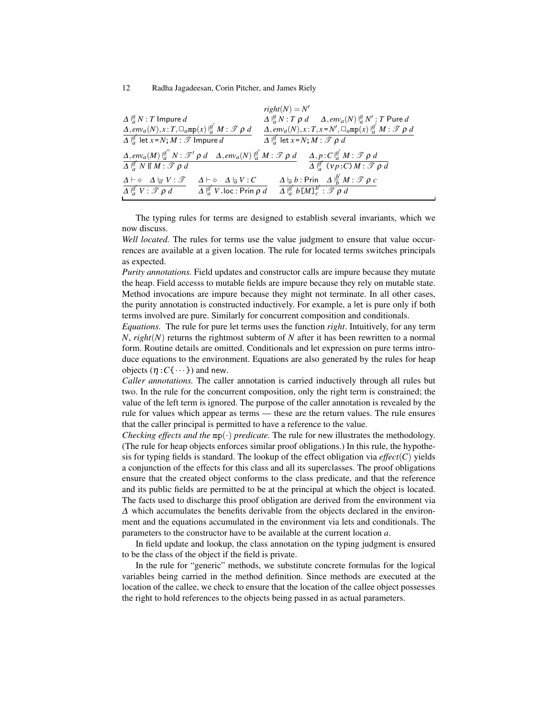|                                                                                                                                                                                                                                                                          | $right(N) = N'$                                                                                                                                                                   |
|--------------------------------------------------------------------------------------------------------------------------------------------------------------------------------------------------------------------------------------------------------------------------|-----------------------------------------------------------------------------------------------------------------------------------------------------------------------------------|
| $\Delta \frac{a}{a} N$ : T Impure d                                                                                                                                                                                                                                      | $\Delta \frac{d}{da} N$ : $T \rho d \Delta, env_a(N) \frac{d}{da} N'$ : $T$ Pure $d$<br>$\Delta, env_a(N), x$ : $T, x = N', \Box_a mp(x) \frac{d'}{da'} M$ : $\mathcal{T} \rho d$ |
| $\Delta, env_a(N), x: T, \Box_a m p(x) \frac{a'}{a} M : \mathscr{T} \rho d$                                                                                                                                                                                              |                                                                                                                                                                                   |
| $\overline{\Delta \frac{d}{a}}$ let $x = N$ ; $M : \mathscr{T}$ Impure d                                                                                                                                                                                                 | $\overline{\Delta \frac{\beta}{a}}$ let $x = N$ ; $M : \mathscr{T} \rho d$                                                                                                        |
| $\Delta, env_a(M) \stackrel{a''}{\mid a} N : \mathcal{T}' \rho d \Delta, env_a(N) \stackrel{a'}{\mid a} M : \mathcal{T} \rho d \Delta, p : C \stackrel{a'}{\mid a} M : \mathcal{T} \rho d$<br>$\overline{\Delta \vert^d_{\sigma} N \vert \Gamma M : \mathscr{T} \rho d}$ | $\overline{\Delta \frac{d}{a} (vp:C) M : \mathscr{T} \rho d}$                                                                                                                     |
| $\Delta \vdash \diamond \Delta \vdash_{\overline{a}} V : \mathscr{T}$<br>$\Delta \vdash \diamond \Delta \vdash_{\overline{a}} V : C$<br>$\overline{\Delta \frac{d}{a}}'$ V . loc : Prin $\rho$ d<br>$\overline{\Delta \frac{a'}{a} V : \mathscr{T} \rho d}$              | $\Delta \varepsilon_a b$ : Prin $\Delta \frac{b'}{b} M$ : $\mathscr{T} \rho c$<br>$\overline{\Delta \frac{a'}{a} b \left[M\right]_c^{b'} : \mathscr{T} \rho d}$                   |

The typing rules for terms are designed to establish several invariants, which we now discuss.

*Well located.* The rules for terms use the value judgment to ensure that value occurrences are available at a given location. The rule for located terms switches principals as expected.

*Purity annotations.* Field updates and constructor calls are impure because they mutate the heap. Field accesss to mutable fields are impure because they rely on mutable state. Method invocations are impure because they might not terminate. In all other cases, the purity annotation is constructed inductively. For example, a let is pure only if both terms involved are pure. Similarly for concurrent composition and conditionals.

*Equations.* The rule for pure let terms uses the function *right*. Intuitively, for any term *N*, *right*(*N*) returns the rightmost subterm of *N* after it has been rewritten to a normal form. Routine details are omitted. Conditionals and let expression on pure terms introduce equations to the environment. Equations are also generated by the rules for heap objects  $(\eta : C\{\cdots\})$  and new.

*Caller annotations.* The caller annotation is carried inductively through all rules but two. In the rule for the concurrent composition, only the right term is constrained; the value of the left term is ignored. The purpose of the caller annotation is revealed by the rule for values which appear as terms — these are the return values. The rule ensures that the caller principal is permitted to have a reference to the value.

*Checking effects and the* mp(·) *predicate.* The rule for new illustrates the methodology. (The rule for heap objects enforces similar proof obligations.) In this rule, the hypothesis for typing fields is standard. The lookup of the effect obligation via *effect*(*C*) yields a conjunction of the effects for this class and all its superclasses. The proof obligations ensure that the created object conforms to the class predicate, and that the reference and its public fields are permitted to be at the principal at which the object is located. The facts used to discharge this proof obligation are derived from the environment via ∆ which accumulates the benefits derivable from the objects declared in the environment and the equations accumulated in the environment via lets and conditionals. The parameters to the constructor have to be available at the current location *a*.

In field update and lookup, the class annotation on the typing judgment is ensured to be the class of the object if the field is private.

In the rule for "generic" methods, we substitute concrete formulas for the logical variables being carried in the method definition. Since methods are executed at the location of the callee, we check to ensure that the location of the callee object possesses the right to hold references to the objects being passed in as actual parameters.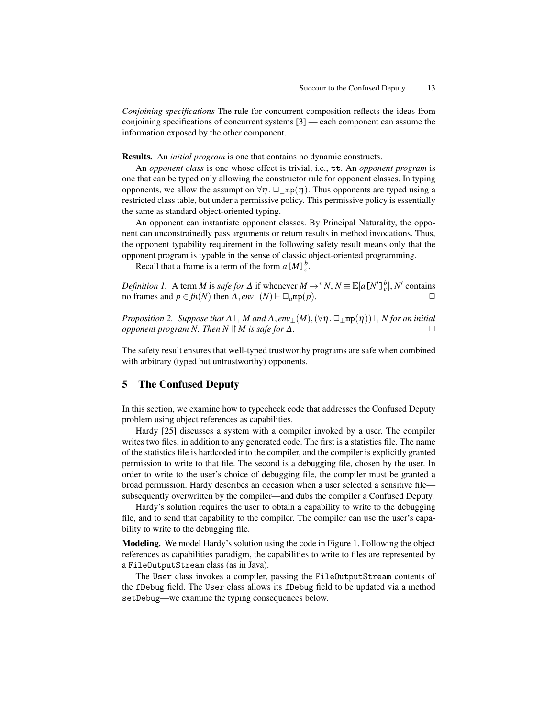*Conjoining specifications* The rule for concurrent composition reflects the ideas from conjoining specifications of concurrent systems [3] — each component can assume the information exposed by the other component.

Results. An *initial program* is one that contains no dynamic constructs.

An *opponent class* is one whose effect is trivial, i.e., tt. An *opponent program* is one that can be typed only allowing the constructor rule for opponent classes. In typing opponents, we allow the assumption  $\forall \eta$ .  $\Box_{\perp}$ mp( $\eta$ ). Thus opponents are typed using a restricted class table, but under a permissive policy. This permissive policy is essentially the same as standard object-oriented typing.

An opponent can instantiate opponent classes. By Principal Naturality, the opponent can unconstrainedly pass arguments or return results in method invocations. Thus, the opponent typability requirement in the following safety result means only that the opponent program is typable in the sense of classic object-oriented programming.

Recall that a frame is a term of the form  $a[M]_c^b$ .

*Definition 1.* A term *M* is *safe for*  $\Delta$  if whenever  $M \to N$ ,  $N \equiv \mathbb{E}[a[N']_c^b]$ ,  $N'$  contains no frames and  $p \in fn(N)$  then  $\Delta, env_{\perp}(N) \models \Box_a mp(p)$ .

*Proposition 2. Suppose that*  $\Delta \vdash \Delta M$  *and*  $\Delta$ , *env*<sub>⊥</sub>(*M*),  $(\forall \eta \cdot \Box_{\perp} \text{mp}(\eta)) \vdash \Delta N$  *for an initial conponent program*  $N$  *Then*  $N$  *If*  $M$  *is safe for*  $\Lambda$ *opponent program N. Then N*  $\parallel M$  *is safe for*  $\Delta$ *.* 

The safety result ensures that well-typed trustworthy programs are safe when combined with arbitrary (typed but untrustworthy) opponents.

# 5 The Confused Deputy

In this section, we examine how to typecheck code that addresses the Confused Deputy problem using object references as capabilities.

Hardy [25] discusses a system with a compiler invoked by a user. The compiler writes two files, in addition to any generated code. The first is a statistics file. The name of the statistics file is hardcoded into the compiler, and the compiler is explicitly granted permission to write to that file. The second is a debugging file, chosen by the user. In order to write to the user's choice of debugging file, the compiler must be granted a broad permission. Hardy describes an occasion when a user selected a sensitive file subsequently overwritten by the compiler—and dubs the compiler a Confused Deputy.

Hardy's solution requires the user to obtain a capability to write to the debugging file, and to send that capability to the compiler. The compiler can use the user's capability to write to the debugging file.

Modeling. We model Hardy's solution using the code in Figure 1. Following the object references as capabilities paradigm, the capabilities to write to files are represented by a FileOutputStream class (as in Java).

The User class invokes a compiler, passing the FileOutputStream contents of the fDebug field. The User class allows its fDebug field to be updated via a method setDebug—we examine the typing consequences below.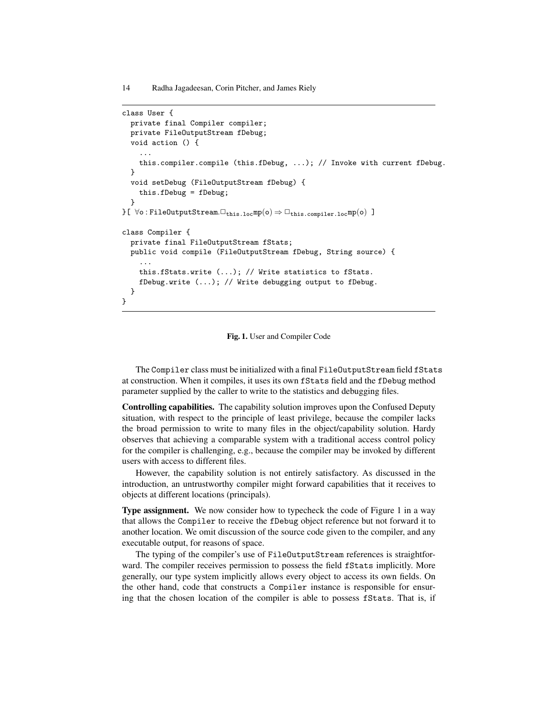```
class User {
  private final Compiler compiler;
  private FileOutputStream fDebug;
  void action () {
     ...
     this.compiler.compile (this.fDebug, ...); // Invoke with current fDebug.
  }
  void setDebug (FileOutputStream fDebug) {
     this.fDebug = fDebug;
  }
{}f \colon \forall \circ \colon \texttt{FileOutputStream}.\Box_{\texttt{this}.\texttt{loc}}\texttt{mp}(\circ) \Rightarrow \Box_{\texttt{this}.\texttt{complex}.\texttt{loc}}\texttt{mp}(\circ) \enspace \Boxclass Compiler {
  private final FileOutputStream fStats;
  public void compile (FileOutputStream fDebug, String source) {
     ...
     this.fStats.write (...); // Write statistics to fStats.
     fDebug.write (...); // Write debugging output to fDebug.
  }
}
```
#### Fig. 1. User and Compiler Code

The Compiler class must be initialized with a final FileOutputStream field fStats at construction. When it compiles, it uses its own fStats field and the fDebug method parameter supplied by the caller to write to the statistics and debugging files.

Controlling capabilities. The capability solution improves upon the Confused Deputy situation, with respect to the principle of least privilege, because the compiler lacks the broad permission to write to many files in the object/capability solution. Hardy observes that achieving a comparable system with a traditional access control policy for the compiler is challenging, e.g., because the compiler may be invoked by different users with access to different files.

However, the capability solution is not entirely satisfactory. As discussed in the introduction, an untrustworthy compiler might forward capabilities that it receives to objects at different locations (principals).

Type assignment. We now consider how to typecheck the code of Figure 1 in a way that allows the Compiler to receive the fDebug object reference but not forward it to another location. We omit discussion of the source code given to the compiler, and any executable output, for reasons of space.

The typing of the compiler's use of FileOutputStream references is straightforward. The compiler receives permission to possess the field fStats implicitly. More generally, our type system implicitly allows every object to access its own fields. On the other hand, code that constructs a Compiler instance is responsible for ensuring that the chosen location of the compiler is able to possess fStats. That is, if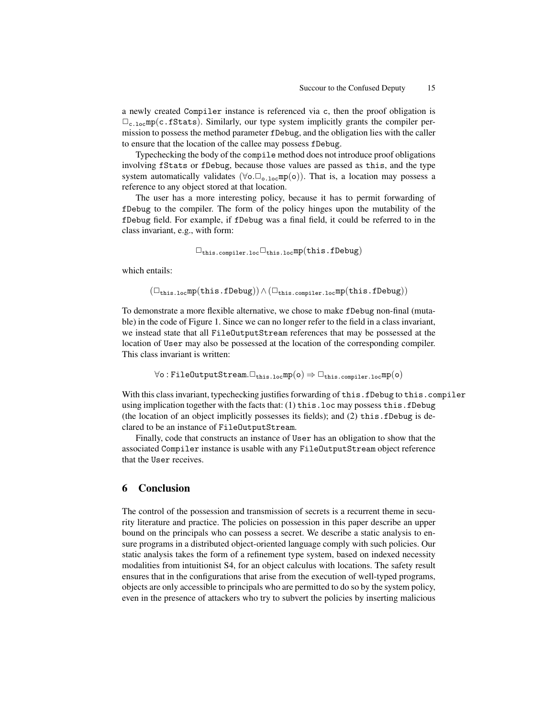a newly created Compiler instance is referenced via c, then the proof obligation is  $\Box_{c.10c}$ mp(c.fStats). Similarly, our type system implicitly grants the compiler permission to possess the method parameter fDebug, and the obligation lies with the caller to ensure that the location of the callee may possess fDebug.

Typechecking the body of the compile method does not introduce proof obligations involving fStats or fDebug, because those values are passed as this, and the type system automatically validates ( $\forall \circ \Box_{\circ, \log} \text{mp}(\circ)$ ). That is, a location may possess a reference to any object stored at that location.

The user has a more interesting policy, because it has to permit forwarding of fDebug to the compiler. The form of the policy hinges upon the mutability of the fDebug field. For example, if fDebug was a final field, it could be referred to in the class invariant, e.g., with form:

$$
\Box_{\texttt{this.complier.loc}}\Box_{\texttt{this.loc}}\texttt{mp}(\texttt{this.fDebug})
$$

which entails:

 $(\Box_{\text{this.loc}}mp(\text{this.fDebug})) \wedge (\Box_{\text{this.complier.loc}}mp(\text{this.fDebug}))$ 

To demonstrate a more flexible alternative, we chose to make fDebug non-final (mutable) in the code of Figure 1. Since we can no longer refer to the field in a class invariant, we instead state that all FileOutputStream references that may be possessed at the location of User may also be possessed at the location of the corresponding compiler. This class invariant is written:

$$
\forall \texttt{o}: \texttt{FileOutputStream}.\Box_{\texttt{this}.\texttt{loc}}\texttt{mp}(\texttt{o}) \Rightarrow \Box_{\texttt{this}.\texttt{complex}.\texttt{loc}}\texttt{mp}(\texttt{o})
$$

With this class invariant, typechecking justifies forwarding of this.fDebug to this.compiler using implication together with the facts that: (1) this.loc may possess this.fDebug (the location of an object implicitly possesses its fields); and  $(2)$  this. fDebug is declared to be an instance of FileOutputStream.

Finally, code that constructs an instance of User has an obligation to show that the associated Compiler instance is usable with any FileOutputStream object reference that the User receives.

# 6 Conclusion

The control of the possession and transmission of secrets is a recurrent theme in security literature and practice. The policies on possession in this paper describe an upper bound on the principals who can possess a secret. We describe a static analysis to ensure programs in a distributed object-oriented language comply with such policies. Our static analysis takes the form of a refinement type system, based on indexed necessity modalities from intuitionist S4, for an object calculus with locations. The safety result ensures that in the configurations that arise from the execution of well-typed programs, objects are only accessible to principals who are permitted to do so by the system policy, even in the presence of attackers who try to subvert the policies by inserting malicious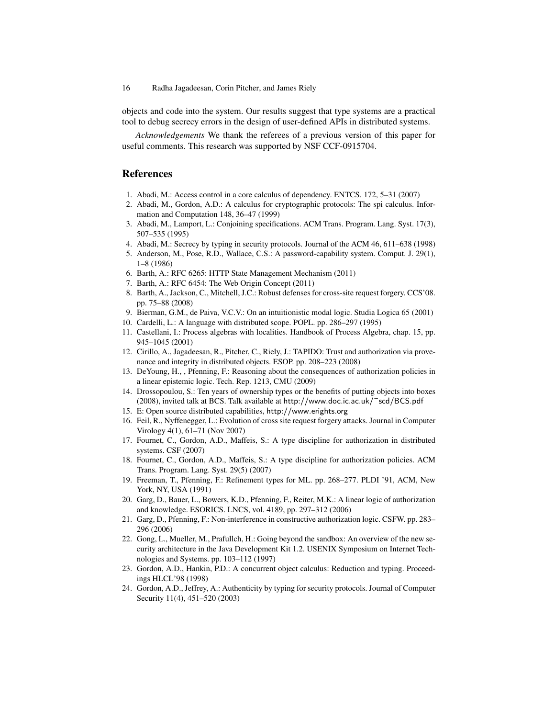objects and code into the system. Our results suggest that type systems are a practical tool to debug secrecy errors in the design of user-defined APIs in distributed systems.

*Acknowledgements* We thank the referees of a previous version of this paper for useful comments. This research was supported by NSF CCF-0915704.

# References

- 1. Abadi, M.: Access control in a core calculus of dependency. ENTCS. 172, 5–31 (2007)
- 2. Abadi, M., Gordon, A.D.: A calculus for cryptographic protocols: The spi calculus. Information and Computation 148, 36–47 (1999)
- 3. Abadi, M., Lamport, L.: Conjoining specifications. ACM Trans. Program. Lang. Syst. 17(3), 507–535 (1995)
- 4. Abadi, M.: Secrecy by typing in security protocols. Journal of the ACM 46, 611–638 (1998)
- 5. Anderson, M., Pose, R.D., Wallace, C.S.: A password-capability system. Comput. J. 29(1), 1–8 (1986)
- 6. Barth, A.: RFC 6265: HTTP State Management Mechanism (2011)
- 7. Barth, A.: RFC 6454: The Web Origin Concept (2011)
- 8. Barth, A., Jackson, C., Mitchell, J.C.: Robust defenses for cross-site request forgery. CCS'08. pp. 75–88 (2008)
- 9. Bierman, G.M., de Paiva, V.C.V.: On an intuitionistic modal logic. Studia Logica 65 (2001)
- 10. Cardelli, L.: A language with distributed scope. POPL. pp. 286–297 (1995)
- 11. Castellani, I.: Process algebras with localities. Handbook of Process Algebra, chap. 15, pp. 945–1045 (2001)
- 12. Cirillo, A., Jagadeesan, R., Pitcher, C., Riely, J.: TAPIDO: Trust and authorization via provenance and integrity in distributed objects. ESOP. pp. 208–223 (2008)
- 13. DeYoung, H., , Pfenning, F.: Reasoning about the consequences of authorization policies in a linear epistemic logic. Tech. Rep. 1213, CMU (2009)
- 14. Drossopoulou, S.: Ten years of ownership types or the benefits of putting objects into boxes (2008), invited talk at BCS. Talk available at http://www.doc.ic.ac.uk/~scd/BCS.pdf
- 15. E: Open source distributed capabilities, http://www.erights.org
- 16. Feil, R., Nyffenegger, L.: Evolution of cross site request forgery attacks. Journal in Computer Virology 4(1), 61–71 (Nov 2007)
- 17. Fournet, C., Gordon, A.D., Maffeis, S.: A type discipline for authorization in distributed systems. CSF (2007)
- 18. Fournet, C., Gordon, A.D., Maffeis, S.: A type discipline for authorization policies. ACM Trans. Program. Lang. Syst. 29(5) (2007)
- 19. Freeman, T., Pfenning, F.: Refinement types for ML. pp. 268–277. PLDI '91, ACM, New York, NY, USA (1991)
- 20. Garg, D., Bauer, L., Bowers, K.D., Pfenning, F., Reiter, M.K.: A linear logic of authorization and knowledge. ESORICS. LNCS, vol. 4189, pp. 297–312 (2006)
- 21. Garg, D., Pfenning, F.: Non-interference in constructive authorization logic. CSFW. pp. 283– 296 (2006)
- 22. Gong, L., Mueller, M., Prafullch, H.: Going beyond the sandbox: An overview of the new security architecture in the Java Development Kit 1.2. USENIX Symposium on Internet Technologies and Systems. pp. 103–112 (1997)
- 23. Gordon, A.D., Hankin, P.D.: A concurrent object calculus: Reduction and typing. Proceedings HLCL'98 (1998)
- 24. Gordon, A.D., Jeffrey, A.: Authenticity by typing for security protocols. Journal of Computer Security 11(4), 451–520 (2003)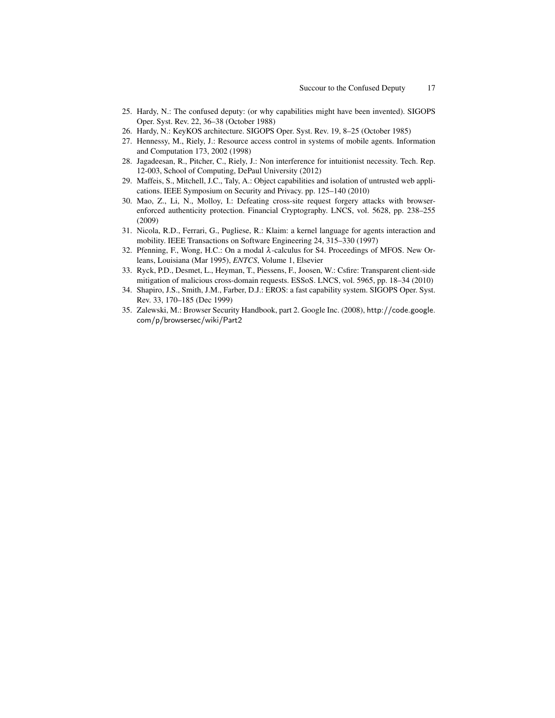- 25. Hardy, N.: The confused deputy: (or why capabilities might have been invented). SIGOPS Oper. Syst. Rev. 22, 36–38 (October 1988)
- 26. Hardy, N.: KeyKOS architecture. SIGOPS Oper. Syst. Rev. 19, 8–25 (October 1985)
- 27. Hennessy, M., Riely, J.: Resource access control in systems of mobile agents. Information and Computation 173, 2002 (1998)
- 28. Jagadeesan, R., Pitcher, C., Riely, J.: Non interference for intuitionist necessity. Tech. Rep. 12-003, School of Computing, DePaul University (2012)
- 29. Maffeis, S., Mitchell, J.C., Taly, A.: Object capabilities and isolation of untrusted web applications. IEEE Symposium on Security and Privacy. pp. 125–140 (2010)
- 30. Mao, Z., Li, N., Molloy, I.: Defeating cross-site request forgery attacks with browserenforced authenticity protection. Financial Cryptography. LNCS, vol. 5628, pp. 238–255 (2009)
- 31. Nicola, R.D., Ferrari, G., Pugliese, R.: Klaim: a kernel language for agents interaction and mobility. IEEE Transactions on Software Engineering 24, 315–330 (1997)
- 32. Pfenning, F., Wong, H.C.: On a modal λ-calculus for S4. Proceedings of MFOS. New Orleans, Louisiana (Mar 1995), *ENTCS*, Volume 1, Elsevier
- 33. Ryck, P.D., Desmet, L., Heyman, T., Piessens, F., Joosen, W.: Csfire: Transparent client-side mitigation of malicious cross-domain requests. ESSoS. LNCS, vol. 5965, pp. 18–34 (2010)
- 34. Shapiro, J.S., Smith, J.M., Farber, D.J.: EROS: a fast capability system. SIGOPS Oper. Syst. Rev. 33, 170–185 (Dec 1999)
- 35. Zalewski, M.: Browser Security Handbook, part 2. Google Inc. (2008), http://code.google. com/p/browsersec/wiki/Part2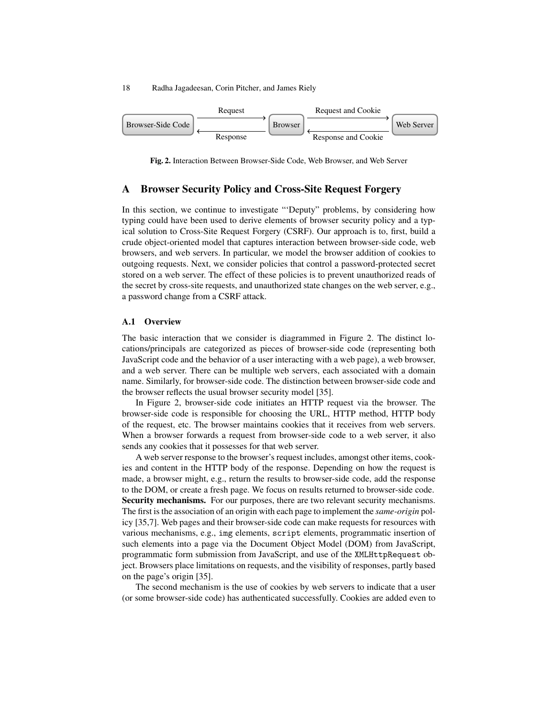

Fig. 2. Interaction Between Browser-Side Code, Web Browser, and Web Server

# A Browser Security Policy and Cross-Site Request Forgery

In this section, we continue to investigate "'Deputy" problems, by considering how typing could have been used to derive elements of browser security policy and a typical solution to Cross-Site Request Forgery (CSRF). Our approach is to, first, build a crude object-oriented model that captures interaction between browser-side code, web browsers, and web servers. In particular, we model the browser addition of cookies to outgoing requests. Next, we consider policies that control a password-protected secret stored on a web server. The effect of these policies is to prevent unauthorized reads of the secret by cross-site requests, and unauthorized state changes on the web server, e.g., a password change from a CSRF attack.

### A.1 Overview

The basic interaction that we consider is diagrammed in Figure 2. The distinct locations/principals are categorized as pieces of browser-side code (representing both JavaScript code and the behavior of a user interacting with a web page), a web browser, and a web server. There can be multiple web servers, each associated with a domain name. Similarly, for browser-side code. The distinction between browser-side code and the browser reflects the usual browser security model [35].

In Figure 2, browser-side code initiates an HTTP request via the browser. The browser-side code is responsible for choosing the URL, HTTP method, HTTP body of the request, etc. The browser maintains cookies that it receives from web servers. When a browser forwards a request from browser-side code to a web server, it also sends any cookies that it possesses for that web server.

A web server response to the browser's request includes, amongst other items, cookies and content in the HTTP body of the response. Depending on how the request is made, a browser might, e.g., return the results to browser-side code, add the response to the DOM, or create a fresh page. We focus on results returned to browser-side code. Security mechanisms. For our purposes, there are two relevant security mechanisms. The first is the association of an origin with each page to implement the *same-origin* policy [35,7]. Web pages and their browser-side code can make requests for resources with various mechanisms, e.g., img elements, script elements, programmatic insertion of such elements into a page via the Document Object Model (DOM) from JavaScript, programmatic form submission from JavaScript, and use of the XMLHttpRequest object. Browsers place limitations on requests, and the visibility of responses, partly based on the page's origin [35].

The second mechanism is the use of cookies by web servers to indicate that a user (or some browser-side code) has authenticated successfully. Cookies are added even to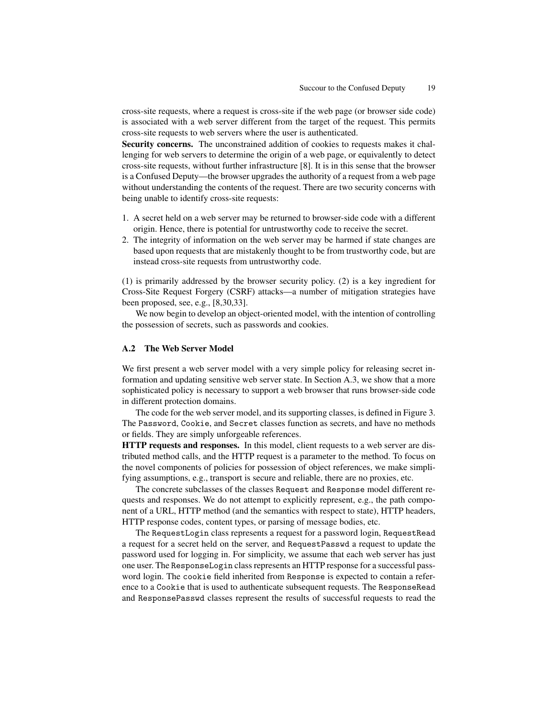cross-site requests, where a request is cross-site if the web page (or browser side code) is associated with a web server different from the target of the request. This permits cross-site requests to web servers where the user is authenticated.

Security concerns. The unconstrained addition of cookies to requests makes it challenging for web servers to determine the origin of a web page, or equivalently to detect cross-site requests, without further infrastructure [8]. It is in this sense that the browser is a Confused Deputy—the browser upgrades the authority of a request from a web page without understanding the contents of the request. There are two security concerns with being unable to identify cross-site requests:

- 1. A secret held on a web server may be returned to browser-side code with a different origin. Hence, there is potential for untrustworthy code to receive the secret.
- 2. The integrity of information on the web server may be harmed if state changes are based upon requests that are mistakenly thought to be from trustworthy code, but are instead cross-site requests from untrustworthy code.

(1) is primarily addressed by the browser security policy. (2) is a key ingredient for Cross-Site Request Forgery (CSRF) attacks—a number of mitigation strategies have been proposed, see, e.g., [8,30,33].

We now begin to develop an object-oriented model, with the intention of controlling the possession of secrets, such as passwords and cookies.

### A.2 The Web Server Model

We first present a web server model with a very simple policy for releasing secret information and updating sensitive web server state. In Section A.3, we show that a more sophisticated policy is necessary to support a web browser that runs browser-side code in different protection domains.

The code for the web server model, and its supporting classes, is defined in Figure 3. The Password, Cookie, and Secret classes function as secrets, and have no methods or fields. They are simply unforgeable references.

HTTP requests and responses. In this model, client requests to a web server are distributed method calls, and the HTTP request is a parameter to the method. To focus on the novel components of policies for possession of object references, we make simplifying assumptions, e.g., transport is secure and reliable, there are no proxies, etc.

The concrete subclasses of the classes Request and Response model different requests and responses. We do not attempt to explicitly represent, e.g., the path component of a URL, HTTP method (and the semantics with respect to state), HTTP headers, HTTP response codes, content types, or parsing of message bodies, etc.

The RequestLogin class represents a request for a password login, RequestRead a request for a secret held on the server, and RequestPasswd a request to update the password used for logging in. For simplicity, we assume that each web server has just one user. The ResponseLogin class represents an HTTP response for a successful password login. The cookie field inherited from Response is expected to contain a reference to a Cookie that is used to authenticate subsequent requests. The ResponseRead and ResponsePasswd classes represent the results of successful requests to read the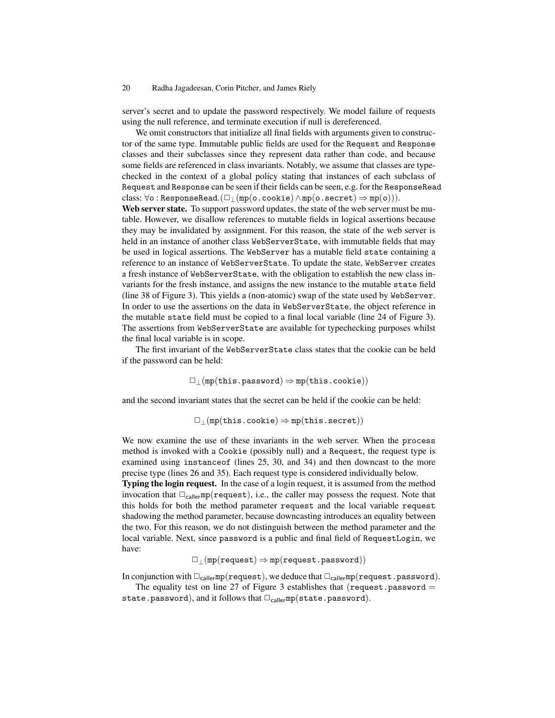server's secret and to update the password respectively. We model failure of requests using the null reference, and terminate execution if null is dereferenced.

We omit constructors that initialize all final fields with arguments given to constructor of the same type. Immutable public fields are used for the Request and Response classes and their subclasses since they represent data rather than code, and because some fields are referenced in class invariants. Notably, we assume that classes are typechecked in the context of a global policy stating that instances of each subclass of Request and Response can be seen if their fields can be seen, e.g. for the ResponseRead class:  $\forall$ o : ResponseRead.( $\Box$ |(mp(o.cookie)  $\land$ mp(o.secret)  $\Rightarrow$ mp(o))).

Web server state. To support password updates, the state of the web server must be mutable. However, we disallow references to mutable fields in logical assertions because they may be invalidated by assignment. For this reason, the state of the web server is held in an instance of another class WebServerState, with immutable fields that may be used in logical assertions. The WebServer has a mutable field state containing a reference to an instance of WebServerState. To update the state, WebServer creates a fresh instance of WebServerState, with the obligation to establish the new class invariants for the fresh instance, and assigns the new instance to the mutable state field (line 38 of Figure 3). This yields a (non-atomic) swap of the state used by WebServer. In order to use the assertions on the data in WebServerState, the object reference in the mutable state field must be copied to a final local variable (line 24 of Figure 3). The assertions from WebServerState are available for typechecking purposes whilst the final local variable is in scope.

The first invariant of the WebServerState class states that the cookie can be held if the password can be held:

 $\Box$ <sub>⊥</sub>(mp(this.password)  $\Rightarrow$  mp(this.cookie))

and the second invariant states that the secret can be held if the cookie can be held:

 $\Box$ <sub>⊥</sub>(mp(this.cookie)  $\Rightarrow$  mp(this.secret))

We now examine the use of these invariants in the web server. When the process method is invoked with a Cookie (possibly null) and a Request, the request type is examined using instanceof (lines 25, 30, and 34) and then downcast to the more precise type (lines 26 and 35). Each request type is considered individually below.

Typing the login request. In the case of a login request, it is assumed from the method invocation that  $\Box_{\text{callermp}}(\text{request})$ , i.e., the caller may possess the request. Note that this holds for both the method parameter request and the local variable request shadowing the method parameter, because downcasting introduces an equality between the two. For this reason, we do not distinguish between the method parameter and the local variable. Next, since password is a public and final field of RequestLogin, we have:

$$
\Box_{\perp}(\mathtt{mp}(\mathtt{request})\Rightarrow\mathtt{mp}(\mathtt{request}.\mathtt{password}))
$$

In conjunction with  $\Box_{\text{caller}}$ mp(request), we deduce that  $\Box_{\text{caller}}$ mp(request.password).

The equality test on line 27 of Figure 3 establishes that (request.password  $=$ state.password), and it follows that  $\Box_{\text{caller}}mp(\text{state.password}).$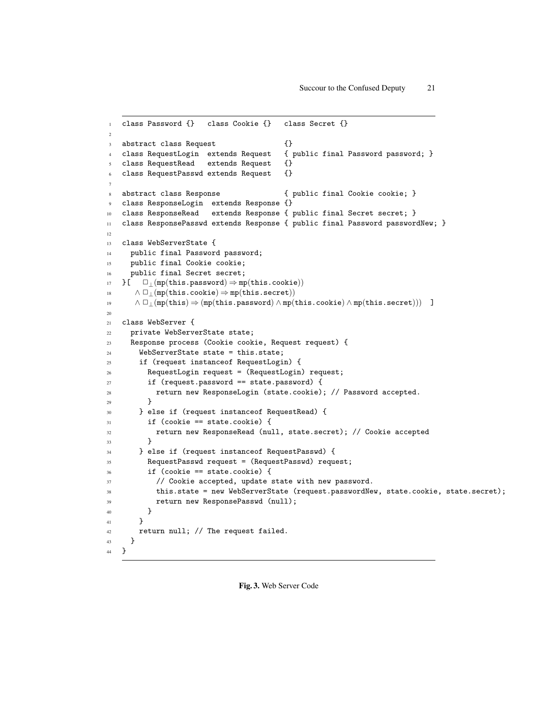```
1 class Password {} class Cookie {} class Secret {}
\overline{2}3 abstract class Request {}
4 class RequestLogin extends Request { public final Password password; }
5 class RequestRead extends Request {}
   class RequestPasswd extends Request {}
7
   abstract class Response \{ public final Cookie cookie; }
   class ResponseLogin extends Response {}
10 class ResponseRead extends Response { public final Secret secret; }
11 class ResponsePasswd extends Response { public final Password passwordNew; }
12
13 class WebServerState {
14 public final Password password;
15 public final Cookie cookie;
16 public final Secret secret;
17 }[ \Box (mp(this.password) \Rightarrow mp(this.cookie))
18 \wedge \Box_{\bot}(\text{mp}(\text{this.cookie}) \Rightarrow \text{mp}(\text{this.secret}))19 ∧ ✷⊥(mp(this) ⇒ (mp(this.password) ∧ mp(this.cookie) ∧ mp(this.secret))) ]
2021 class WebServer {
22 private WebServerState state;
23 Response process (Cookie cookie, Request request) {
24 WebServerState state = this.state;
25 if (request instanceof RequestLogin) {
26 RequestLogin request = (RequestLogin) request;
27 if (request.password == state.password) {
28 return new ResponseLogin (state.cookie); // Password accepted.
29 }
30 } else if (request instanceof RequestRead) {
31 if (cookie == state.cookie) {
32 return new ResponseRead (null, state.secret); // Cookie accepted
33 }
34 } else if (request instanceof RequestPasswd) {
35 RequestPasswd request = (RequestPasswd) request;
36 if (cookie == state.cookie) {
37 // Cookie accepted, update state with new password.
38 this.state = new WebServerState (request.passwordNew, state.cookie, state.secret);
39 return new ResponsePasswd (null);
40 }
41 }
42 return null; // The request failed.
43 }
44 }
```
Fig. 3. Web Server Code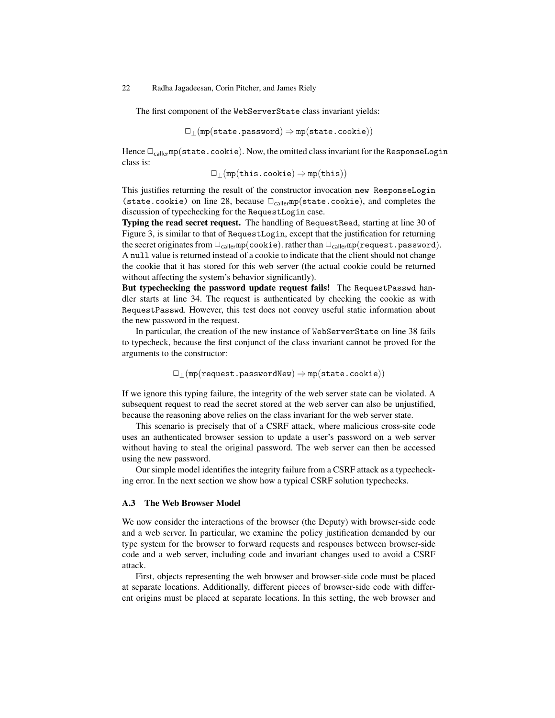The first component of the WebServerState class invariant yields:

 $\Box$ <sub>⊥</sub>(mp(state.password)  $\Rightarrow$  mp(state.cookie))

Hence  $\Box_{\text{caller}}$ mp(state.cookie). Now, the omitted class invariant for the ResponseLogin class is:

 $\Box_{\perp}$ (mp(this.cookie)  $\Rightarrow$  mp(this))

This justifies returning the result of the constructor invocation new ResponseLogin (state.cookie) on line 28, because  $\Box_{\text{caller}}$ mp(state.cookie), and completes the discussion of typechecking for the RequestLogin case.

Typing the read secret request. The handling of RequestRead, starting at line 30 of Figure 3, is similar to that of RequestLogin, except that the justification for returning the secret originates from  $\Box_{\text{caler}}$ mp(cookie). rather than  $\Box_{\text{caller}}$ mp(request.password). A null value is returned instead of a cookie to indicate that the client should not change the cookie that it has stored for this web server (the actual cookie could be returned without affecting the system's behavior significantly).

But typechecking the password update request fails! The RequestPasswd handler starts at line 34. The request is authenticated by checking the cookie as with RequestPasswd. However, this test does not convey useful static information about the new password in the request.

In particular, the creation of the new instance of WebServerState on line 38 fails to typecheck, because the first conjunct of the class invariant cannot be proved for the arguments to the constructor:

 $\Box_{\perp}$ (mp(request.passwordNew)  $\Rightarrow$  mp(state.cookie))

If we ignore this typing failure, the integrity of the web server state can be violated. A subsequent request to read the secret stored at the web server can also be unjustified, because the reasoning above relies on the class invariant for the web server state.

This scenario is precisely that of a CSRF attack, where malicious cross-site code uses an authenticated browser session to update a user's password on a web server without having to steal the original password. The web server can then be accessed using the new password.

Our simple model identifies the integrity failure from a CSRF attack as a typechecking error. In the next section we show how a typical CSRF solution typechecks.

## A.3 The Web Browser Model

We now consider the interactions of the browser (the Deputy) with browser-side code and a web server. In particular, we examine the policy justification demanded by our type system for the browser to forward requests and responses between browser-side code and a web server, including code and invariant changes used to avoid a CSRF attack.

First, objects representing the web browser and browser-side code must be placed at separate locations. Additionally, different pieces of browser-side code with different origins must be placed at separate locations. In this setting, the web browser and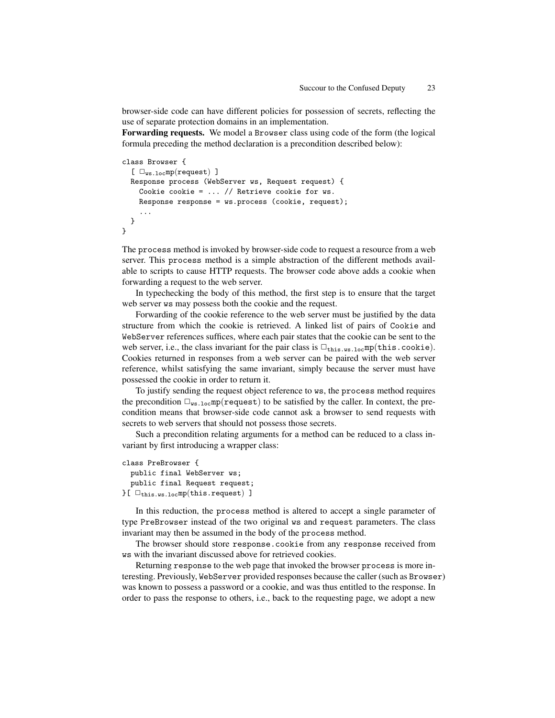browser-side code can have different policies for possession of secrets, reflecting the use of separate protection domains in an implementation.

Forwarding requests. We model a Browser class using code of the form (the logical formula preceding the method declaration is a precondition described below):

```
class Browser {
  [ \Box_{ws,loc}mp(request) ]Response process (WebServer ws, Request request) {
    Cookie cookie = ... // Retrieve cookie for ws.
    Response response = ws.process (cookie, request);
    ...
 }
}
```
The process method is invoked by browser-side code to request a resource from a web server. This process method is a simple abstraction of the different methods available to scripts to cause HTTP requests. The browser code above adds a cookie when forwarding a request to the web server.

In typechecking the body of this method, the first step is to ensure that the target web server ws may possess both the cookie and the request.

Forwarding of the cookie reference to the web server must be justified by the data structure from which the cookie is retrieved. A linked list of pairs of Cookie and WebServer references suffices, where each pair states that the cookie can be sent to the web server, i.e., the class invariant for the pair class is  $\square_{\text{this.ws.loc}}$ mp(this.cookie). Cookies returned in responses from a web server can be paired with the web server reference, whilst satisfying the same invariant, simply because the server must have possessed the cookie in order to return it.

To justify sending the request object reference to ws, the process method requires the precondition  $\Box_{ws,loc}$ mp(request) to be satisfied by the caller. In context, the precondition means that browser-side code cannot ask a browser to send requests with secrets to web servers that should not possess those secrets.

Such a precondition relating arguments for a method can be reduced to a class invariant by first introducing a wrapper class:

```
class PreBrowser {
  public final WebServer ws;
  public final Request request;
{}^{\circ}[ \Box_{\text{this.ws.loc}}mp(this.request) ]
```
In this reduction, the process method is altered to accept a single parameter of type PreBrowser instead of the two original ws and request parameters. The class invariant may then be assumed in the body of the process method.

The browser should store response.cookie from any response received from ws with the invariant discussed above for retrieved cookies.

Returning response to the web page that invoked the browser process is more interesting. Previously, WebServer provided responses because the caller (such as Browser) was known to possess a password or a cookie, and was thus entitled to the response. In order to pass the response to others, i.e., back to the requesting page, we adopt a new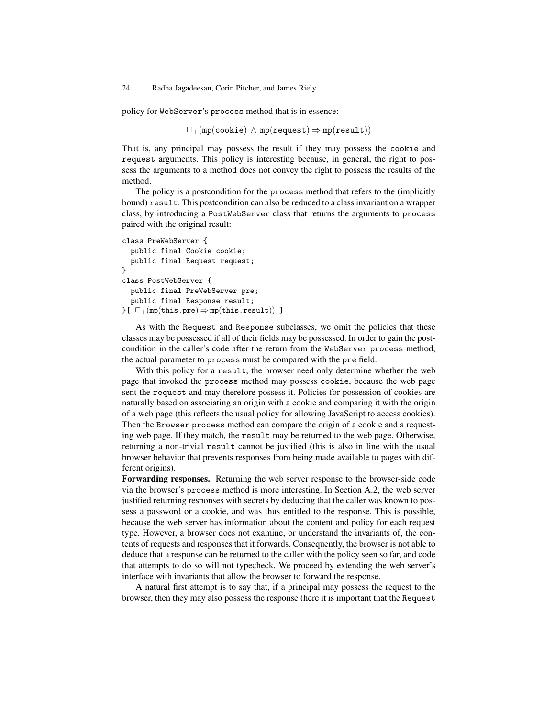policy for WebServer's process method that is in essence:

 $\Box$ <sub>|</sub>(mp(cookie)  $\land$  mp(request)  $\Rightarrow$  mp(result))

That is, any principal may possess the result if they may possess the cookie and request arguments. This policy is interesting because, in general, the right to possess the arguments to a method does not convey the right to possess the results of the method.

The policy is a postcondition for the process method that refers to the (implicitly bound) result. This postcondition can also be reduced to a class invariant on a wrapper class, by introducing a PostWebServer class that returns the arguments to process paired with the original result:

```
class PreWebServer {
  public final Cookie cookie;
  public final Request request;
\mathbf{r}class PostWebServer {
  public final PreWebServer pre;
  public final Response result;
{}_{\text{F}}[ \Box_{\text{I}}(\text{mp}(\text{this.pre}) \Rightarrow \text{mp}(\text{this.result})) ]
```
As with the Request and Response subclasses, we omit the policies that these classes may be possessed if all of their fields may be possessed. In order to gain the postcondition in the caller's code after the return from the WebServer process method, the actual parameter to process must be compared with the pre field.

With this policy for a result, the browser need only determine whether the web page that invoked the process method may possess cookie, because the web page sent the request and may therefore possess it. Policies for possession of cookies are naturally based on associating an origin with a cookie and comparing it with the origin of a web page (this reflects the usual policy for allowing JavaScript to access cookies). Then the Browser process method can compare the origin of a cookie and a requesting web page. If they match, the result may be returned to the web page. Otherwise, returning a non-trivial result cannot be justified (this is also in line with the usual browser behavior that prevents responses from being made available to pages with different origins).

Forwarding responses. Returning the web server response to the browser-side code via the browser's process method is more interesting. In Section A.2, the web server justified returning responses with secrets by deducing that the caller was known to possess a password or a cookie, and was thus entitled to the response. This is possible, because the web server has information about the content and policy for each request type. However, a browser does not examine, or understand the invariants of, the contents of requests and responses that it forwards. Consequently, the browser is not able to deduce that a response can be returned to the caller with the policy seen so far, and code that attempts to do so will not typecheck. We proceed by extending the web server's interface with invariants that allow the browser to forward the response.

A natural first attempt is to say that, if a principal may possess the request to the browser, then they may also possess the response (here it is important that the Request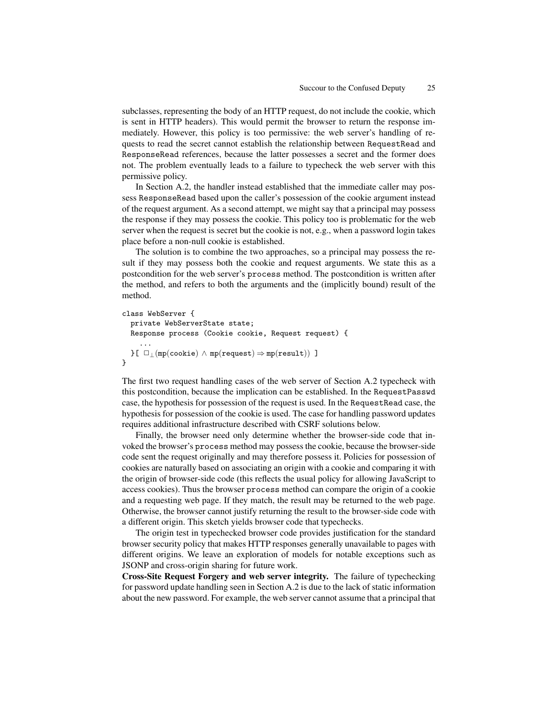subclasses, representing the body of an HTTP request, do not include the cookie, which is sent in HTTP headers). This would permit the browser to return the response immediately. However, this policy is too permissive: the web server's handling of requests to read the secret cannot establish the relationship between RequestRead and ResponseRead references, because the latter possesses a secret and the former does not. The problem eventually leads to a failure to typecheck the web server with this permissive policy.

In Section A.2, the handler instead established that the immediate caller may possess ResponseRead based upon the caller's possession of the cookie argument instead of the request argument. As a second attempt, we might say that a principal may possess the response if they may possess the cookie. This policy too is problematic for the web server when the request is secret but the cookie is not, e.g., when a password login takes place before a non-null cookie is established.

The solution is to combine the two approaches, so a principal may possess the result if they may possess both the cookie and request arguments. We state this as a postcondition for the web server's process method. The postcondition is written after the method, and refers to both the arguments and the (implicitly bound) result of the method.

```
class WebServer {
  private WebServerState state;
  Response process (Cookie cookie, Request request) {
     ...
  {} \}[ \Box<sub>1</sub> (mp(cookie) \land mp(request) \Rightarrow mp(result)) ]
}
```
The first two request handling cases of the web server of Section A.2 typecheck with this postcondition, because the implication can be established. In the RequestPasswd case, the hypothesis for possession of the request is used. In the RequestRead case, the hypothesis for possession of the cookie is used. The case for handling password updates requires additional infrastructure described with CSRF solutions below.

Finally, the browser need only determine whether the browser-side code that invoked the browser's process method may possess the cookie, because the browser-side code sent the request originally and may therefore possess it. Policies for possession of cookies are naturally based on associating an origin with a cookie and comparing it with the origin of browser-side code (this reflects the usual policy for allowing JavaScript to access cookies). Thus the browser process method can compare the origin of a cookie and a requesting web page. If they match, the result may be returned to the web page. Otherwise, the browser cannot justify returning the result to the browser-side code with a different origin. This sketch yields browser code that typechecks.

The origin test in typechecked browser code provides justification for the standard browser security policy that makes HTTP responses generally unavailable to pages with different origins. We leave an exploration of models for notable exceptions such as JSONP and cross-origin sharing for future work.

Cross-Site Request Forgery and web server integrity. The failure of typechecking for password update handling seen in Section A.2 is due to the lack of static information about the new password. For example, the web server cannot assume that a principal that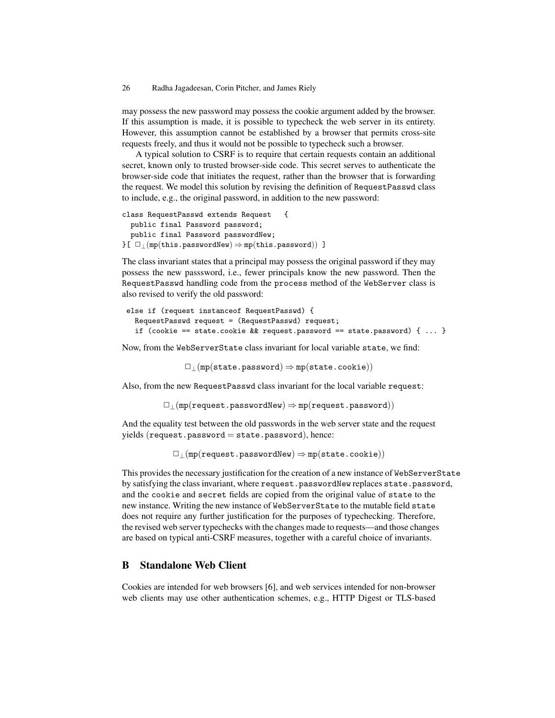may possess the new password may possess the cookie argument added by the browser. If this assumption is made, it is possible to typecheck the web server in its entirety. However, this assumption cannot be established by a browser that permits cross-site requests freely, and thus it would not be possible to typecheck such a browser.

A typical solution to CSRF is to require that certain requests contain an additional secret, known only to trusted browser-side code. This secret serves to authenticate the browser-side code that initiates the request, rather than the browser that is forwarding the request. We model this solution by revising the definition of RequestPasswd class to include, e.g., the original password, in addition to the new password:

```
class RequestPasswd extends Request {
  public final Password password;
  public final Password passwordNew;
{}f \Box_{\perp}(mp(this.passwordNew) \Rightarrow mp(this.password)) ]
```
The class invariant states that a principal may possess the original password if they may possess the new passsword, i.e., fewer principals know the new password. Then the RequestPasswd handling code from the process method of the WebServer class is also revised to verify the old password:

```
else if (request instanceof RequestPasswd) {
  RequestPasswd request = (RequestPasswd) request;
  if (cookie == state.cookie && request.password == state.password) \{ \ldots \}
```
Now, from the WebServerState class invariant for local variable state, we find:

 $\Box$ <sub>⊥</sub>(mp(state.password)  $\Rightarrow$  mp(state.cookie))

Also, from the new RequestPasswd class invariant for the local variable request:

 $\Box$ <sub>⊥</sub>(mp(request.passwordNew)  $\Rightarrow$  mp(request.password))

And the equality test between the old passwords in the web server state and the request  $yields (request.\text{password} = state.\text{password}), hence:$ 

 $\Box_{\perp}$ (mp(request.passwordNew)  $\Rightarrow$  mp(state.cookie))

This provides the necessary justification for the creation of a new instance of WebServerState by satisfying the class invariant, where request.passwordNew replaces state.password, and the cookie and secret fields are copied from the original value of state to the new instance. Writing the new instance of WebServerState to the mutable field state does not require any further justification for the purposes of typechecking. Therefore, the revised web server typechecks with the changes made to requests—and those changes are based on typical anti-CSRF measures, together with a careful choice of invariants.

# B Standalone Web Client

Cookies are intended for web browsers [6], and web services intended for non-browser web clients may use other authentication schemes, e.g., HTTP Digest or TLS-based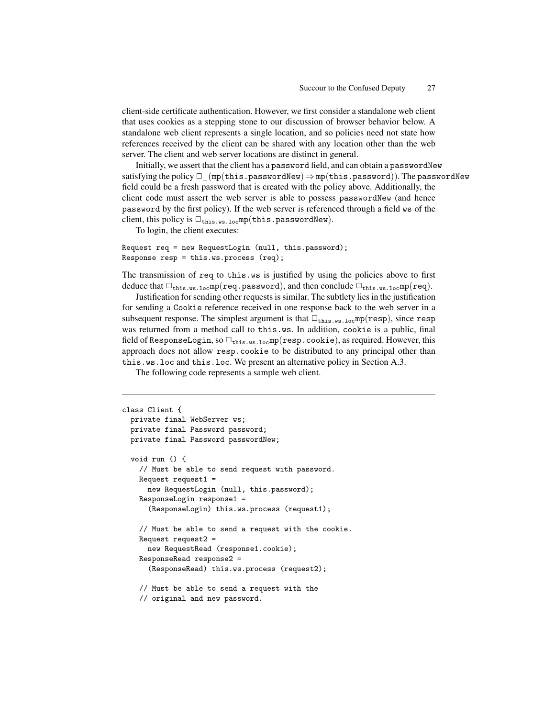client-side certificate authentication. However, we first consider a standalone web client that uses cookies as a stepping stone to our discussion of browser behavior below. A standalone web client represents a single location, and so policies need not state how references received by the client can be shared with any location other than the web server. The client and web server locations are distinct in general.

Initially, we assert that the client has a password field, and can obtain a passwordNew satisfying the policy  $\Box$ <sub>⊥</sub>(mp(this.passwordNew)  $\Rightarrow$  mp(this.password)). The passwordNew field could be a fresh password that is created with the policy above. Additionally, the client code must assert the web server is able to possess passwordNew (and hence password by the first policy). If the web server is referenced through a field ws of the client, this policy is  $\Box_{\text{this.ws.loc}}$ mp(this.passwordNew).

To login, the client executes:

```
Request req = new RequestLogin (null, this.password);
Response resp = this.ws.process (req);
```
The transmission of req to this.ws is justified by using the policies above to first deduce that  $\Box_{\text{this.ws.loc}}$ mp(req.password), and then conclude  $\Box_{\text{this.ws.loc}}$ mp(req).

Justification for sending other requests is similar. The subtlety lies in the justification for sending a Cookie reference received in one response back to the web server in a subsequent response. The simplest argument is that  $\Box_{\text{this.ws.loc}}$ mp(resp), since resp was returned from a method call to this.ws. In addition, cookie is a public, final field of ResponseLogin, so  $\Box_{\text{this.ws.loc}}$ mp(resp.cookie), as required. However, this approach does not allow resp.cookie to be distributed to any principal other than this.ws.loc and this.loc. We present an alternative policy in Section A.3.

The following code represents a sample web client.

```
class Client {
 private final WebServer ws;
 private final Password password;
 private final Password passwordNew;
 void run () {
    // Must be able to send request with password.
   Request request1 =
      new RequestLogin (null, this.password);
    ResponseLogin response1 =
      (ResponseLogin) this.ws.process (request1);
    // Must be able to send a request with the cookie.
    Request request2 =
      new RequestRead (response1.cookie);
    ResponseRead response2 =
      (ResponseRead) this.ws.process (request2);
    // Must be able to send a request with the
    // original and new password.
```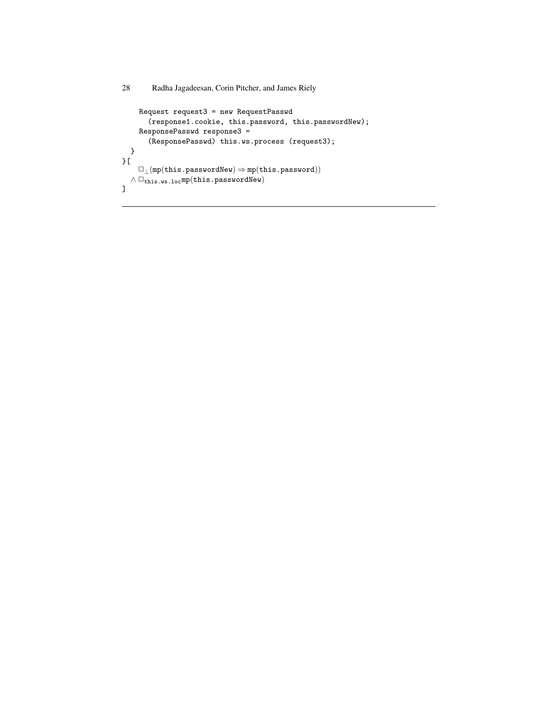```
28 Radha Jagadeesan, Corin Pitcher, and James Riely
```

```
Request request3 = new RequestPasswd
        (response1.cookie, this.password, this.passwordNew);
     ResponsePasswd response3 =
        (ResponsePasswd) this.ws.process (request3);
  }
}[
     \Box_{\perp}(\texttt{mp}(\texttt{this.passwordNew}) \Rightarrow \texttt{mp}(\texttt{this.password}))\land\,\square_{\mathtt{this.ws.loc}} mp(this.passwordNew)
\mathbf{I}
```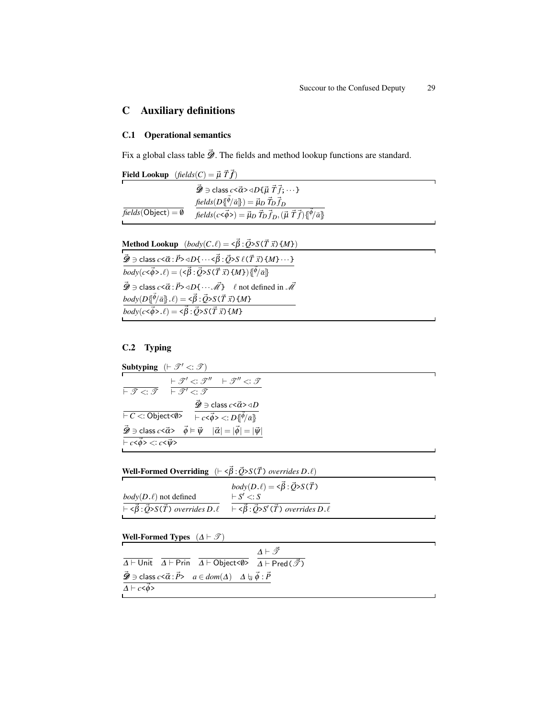# C Auxiliary definitions

### C.1 Operational semantics

Fix a global class table  $\vec{\mathcal{D}}$ . The fields and method lookup functions are standard.

|                              | <b>Field Lookup</b> $(\text{fields}(C) = \vec{\mu} \ \vec{T} \ \vec{f})$                                         |  |
|------------------------------|------------------------------------------------------------------------------------------------------------------|--|
|                              | $\vec{\mathscr{D}} \ni$ class $c \le \vec{\alpha} > \triangleleft D\{\vec{\mu} \ \vec{T} \ \vec{f}; \cdots \}$   |  |
|                              | fields $(D\{\vec{\phi}/\vec{\alpha}\}) = \vec{\mu}_D \vec{T}_D \vec{f}_D$                                        |  |
| $fields(Object) = \emptyset$ | $fields(c<\vec{\phi}>)=\vec{\mu}_D \vec{T}_D \vec{f}_D, (\vec{\mu} \vec{T} \vec{f}) \{\ket{\phi} \vec{\alpha}\}$ |  |
|                              |                                                                                                                  |  |

Method Lookup  $(body(C.\ell) = \langle \vec{\beta} : \vec{Q} \rangle S(\vec{T} \vec{x}) \{M\})$  $\vec{\mathscr{D}}}\ni$  class  $c<\vec{\alpha}:\vec{P}>\triangleleft D\{\cdots<\vec{\beta}:\vec{Q}>S \;\ell(\vec{T}\;\vec{x})\left\{M\right\}\cdots\}$  $\overline{body(c<\vec{\phi}>.e)=(\langle\vec{\beta}:\vec{Q}\rangle S(\vec{T} \vec{x})\{M\})\{\vec{\phi}/\vec{\alpha}\}\}$  $\vec{\mathcal{D}} \ni \text{class } c \leq \vec{\alpha} : \vec{P} \geq \triangleleft D \{ \cdots \vec{\mathcal{M}} \} \quad \ell \text{ not defined in } \vec{\mathcal{M}}$  $\mathit{body}(D\{\vec{\phi}/\vec{\alpha}\}.\ell) = \langle \vec{\beta}:\vec{Q} \rangle S(\vec{T} \vec{x}) \{M\}$  $\overline{body(c<\vec{\phi}>. \ell)} = \langle \vec{\beta} : \vec{Q} \rangle S(\vec{T} \vec{x}) \{M\}$ 

# C.2 Typing

Subtyping  $(F \mathscr{T}' \leq: \mathscr{T})$  $\vdash \mathscr{T} <: \mathscr{T}$  $\vdash \mathscr{T}' \mathopen{<:} \mathscr{T}'' \quad \vdash \mathscr{T}'' \mathopen{<:} \mathscr{T}$  $\vdash \mathscr{T}' \mathbin{\textcolor{red}{\mathbf{<}}\mathord{\mathbf{.}}\mathord{\mathbf{\mathbf{\mathcal{I}}}}}$  $\vdash$  *C* <: Object<0>  $\vec{\mathcal{D}}\ni$  class  $c$ < $\vec{\alpha}$ > $\triangleleft$ *D*  $\overline{\left.\vdash c\texttt{<}\vec{\phi}\texttt{>}<:D\{\!\!\left[\vec{\phi}/\vec{\alpha}\right]\!\!\right\}}$  $\vec{\mathscr{D}} \ni$  class  $c \leq \vec{\alpha} > \vec{\phi} \models \vec{\psi} \quad |\vec{\alpha}| = |\vec{\phi}| = |\vec{\psi}|$  $\vdash c<\vec{\phi}>\lt;:c<\vec{\psi}>$ 

**Well-Formed Overriding**  $(-\langle \vec{\beta} : \vec{Q} \rangle S(\vec{T}))$  *overrides*  $D.\ell)$ 

|                                                                                                                                               | $body(D.\ell) = \langle \vec{\beta} : \vec{Q} \rangle S(\vec{T})$                  |
|-----------------------------------------------------------------------------------------------------------------------------------------------|------------------------------------------------------------------------------------|
| $body(D.\ell)$ not defined                                                                                                                    | $\vdash S' \lt: S$                                                                 |
| $\overline{\overline{\phantom{h}}\vdash \langle \vec{\beta}:\vec{Q} \rangle S(\vec{T}) \overline{\overline{\phantom{h}}}}$ overrides $D.\ell$ | $\overline{\vdash} \langle \vec{\beta} : \vec{Q} \rangle S'(\vec{T})$ overrides D. |

Well-Formed Types  $(\Delta \vdash \mathscr{T})$ 

 $\overline{\Delta}$   $\vdash$  Unit  $\overline{\Delta}$   $\vdash$  Prin  $\overline{\Delta}$   $\vdash$  Object< $\emptyset$ >  $\overline{\Delta}$   $\vdash$  Pred $(\overrightarrow{\mathcal{J}})$  $\varDelta \vdash \vec{\mathscr{T}}$  $\vec{\mathscr{D}} \ni$  class  $c \leq \vec{\alpha} : \vec{P} > a \in dom(\Delta) \quad \Delta \models_{\vec{\alpha}} \vec{\phi} : \vec{P}$  $\overrightarrow{\Delta \vdash c\leq \phi>}$